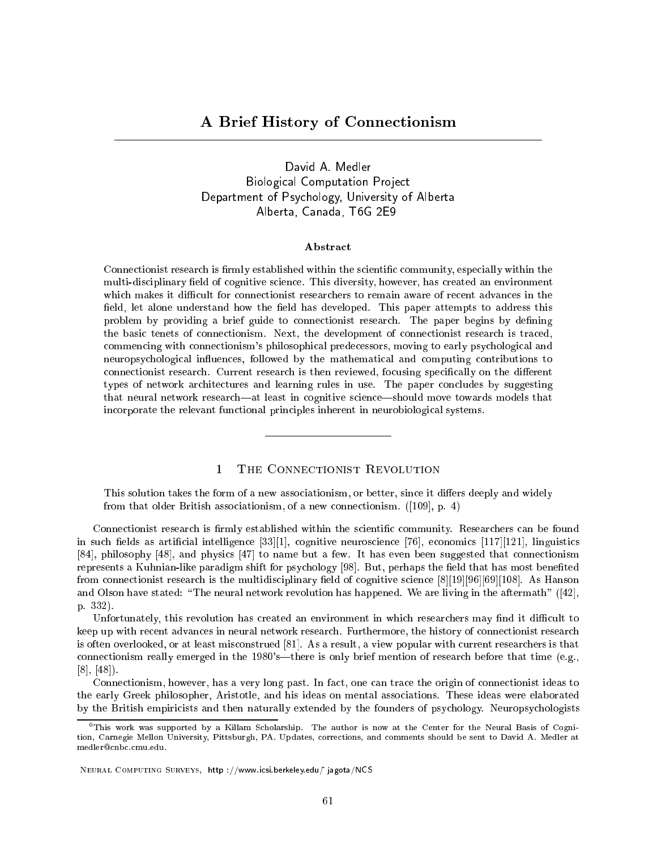David A. Medler Biological Computation Project Department of Psychology, University of Alberta Alberta, Canada, T6G 2E9

# Abstract

Connectionist research is firmly established within the scientific community, especially within the multi-disciplinary field of cognitive science. This diversity, however, has created an environment which makes it difficult for connectionist researchers to remain aware of recent advances in the field, let alone understand how the field has developed. This paper attempts to address this problem by providing a brief guide to connectionist research. The paper begins by defining the basic tenets of connectionism. Next, the development of connectionist research is traced, commencing with connectionism's philosophical predecessors, moving to early psychological and neuropsychological in
uences, followed by the mathematical and computing contributions to connectionist research. Current research is then reviewed, focusing specifically on the different types of network architectures and learning rules in use. The paper concludes by suggesting that neural network research—at least in cognitive science—should move towards models that incorporate the relevant functional principles inherent in neurobiological systems.

# $\mathbf{1}$

This solution takes the form of a new associationism, or better, since it differs deeply and widely from that older British associationism, of a new connectionism. ([109], p. 4)

Connectionist research is firmly established within the scientific community. Researchers can be found in such fields as artificial intelligence  $[33][1]$ , cognitive neuroscience  $[76]$ , economics  $[117][121]$ , linguistics [84], philosophy [48], and physics [47] to name but a few. It has even been suggested that connectionism represents a Kuhnian-like paradigm shift for psychology [98]. But, perhaps the field that has most benefited from connectionist research is the multidisciplinary field of cognitive science  $[8][19][96][108]$ . As Hanson and Olson have stated: "The neural network revolution has happened. We are living in the aftermath" ([42], p. 332).

Unfortunately, this revolution has created an environment in which researchers may find it difficult to keep up with recent advances in neural network research. Furthermore, the history of connectionist research is often overlooked, or at least misconstrued [81]. As a result, a view popular with current researchers is that connectionism really emerged in the 1980's—there is only brief mention of research before that time (e.g., [8], [48]).

Connectionism, however, has a very long past. In fact, one can trace the origin of connectionist ideas to the early Greek philosopher, Aristotle, and his ideas on mental associations. These ideas were elaborated by the British empiricists and then naturally extended by the founders of psychology. Neuropsychologists

 $0$ This work was supported by a Killam Scholarship. The author is now at the Center for the Neural Basis of Cognition, Carnegie Mellon University, Pittsburgh, PA. Updates, corrections, and comments should be sent to David A. Medler at medler@cnbc.cmu.edu.

Neural Computing Surveys, http ://www.icsi.berkeley.edu/~ jagota/NCS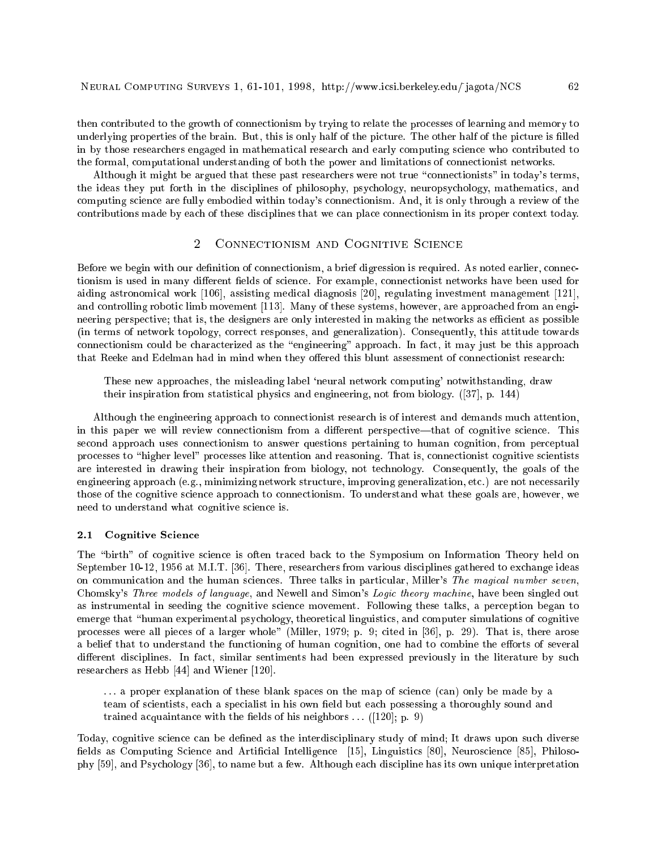then contributed to the growth of connectionism by trying to relate the processes of learning and memory to underlying properties of the brain. But, this is only half of the picture. The other half of the picture is filled in by those researchers engaged in mathematical research and early computing science who contributed to the formal, computational understanding of both the power and limitations of connectionist networks.

Although it might be argued that these past researchers were not true "connectionists" in today's terms, the ideas they put forth in the disciplines of philosophy, psychology, neuropsychology, mathematics, and computing science are fully embodied within today's connectionism. And, it is only through a review of the contributions made by each of these disciplines that we can place connectionism in its proper context today.

#### $\overline{2}$ 2 Connectionism and Cognitive Science

Before we begin with our definition of connectionism, a brief digression is required. As noted earlier, connectionism is used in many different fields of science. For example, connectionist networks have been used for aiding astronomical work [106], assisting medical diagnosis [20], regulating investment management [121], and controlling robotic limb movement [113]. Many of these systems, however, are approached from an engineering perspective; that is, the designers are only interested in making the networks as efficient as possible (in terms of network topology, correct responses, and generalization). Consequently, this attitude towards connectionism could be characterized as the "engineering" approach. In fact, it may just be this approach that Reeke and Edelman had in mind when they offered this blunt assessment of connectionist research:

These new approaches, the misleading label 'neural network computing' notwithstanding, draw their inspiration from statistical physics and engineering, not from biology. ([37], p. 144)

Although the engineering approach to connectionist research is of interest and demands much attention, in this paper we will review connectionism from a different perspective—that of cognitive science. This second approach uses connectionism to answer questions pertaining to human cognition, from perceptual processes to "higher level" processes like attention and reasoning. That is, connectionist cognitive scientists are interested in drawing their inspiration from biology, not technology. Consequently, the goals of the engineering approach (e.g., minimizing network structure, improving generalization, etc.) are not necessarily those of the cognitive science approach to connectionism. To understand what these goals are, however, we need to understand what cognitive science is.

#### 2.1 Cognitive Science

The "birth" of cognitive science is often traced back to the Symposium on Information Theory held on September 10-12, 1956 at M.I.T. [36]. There, researchers from various disciplines gathered to exchange ideas on communication and the human sciences. Three talks in particular, Miller's The magical number seven, Chomsky's Three models of language, and Newell and Simon's Logic theory machine, have been singled out as instrumental in seeding the cognitive science movement. Following these talks, a perception began to emerge that "human experimental psychology, theoretical linguistics, and computer simulations of cognitive processes were all pieces of a larger whole" (Miller, 1979; p. 9; cited in [36], p. 29). That is, there arose a belief that to understand the functioning of human cognition, one had to combine the efforts of several different disciplines. In fact, similar sentiments had been expressed previously in the literature by such researchers as Hebb [44] and Wiener [120].

... a proper explanation of these blank spaces on the map of science (can) only be made by a team of scientists, each a specialist in his own field but each possessing a thoroughly sound and trained acquaintance with the fields of his neighbors  $\ldots$  ([120]; p. 9)

Today, cognitive science can be dened as the interdisciplinary study of mind; It draws upon such diverse fields as Computing Science and Artificial Intelligence [15], Linguistics [80], Neuroscience [85], Philosophy [59], and Psychology [36], to name but a few. Although each discipline has its own unique interpretation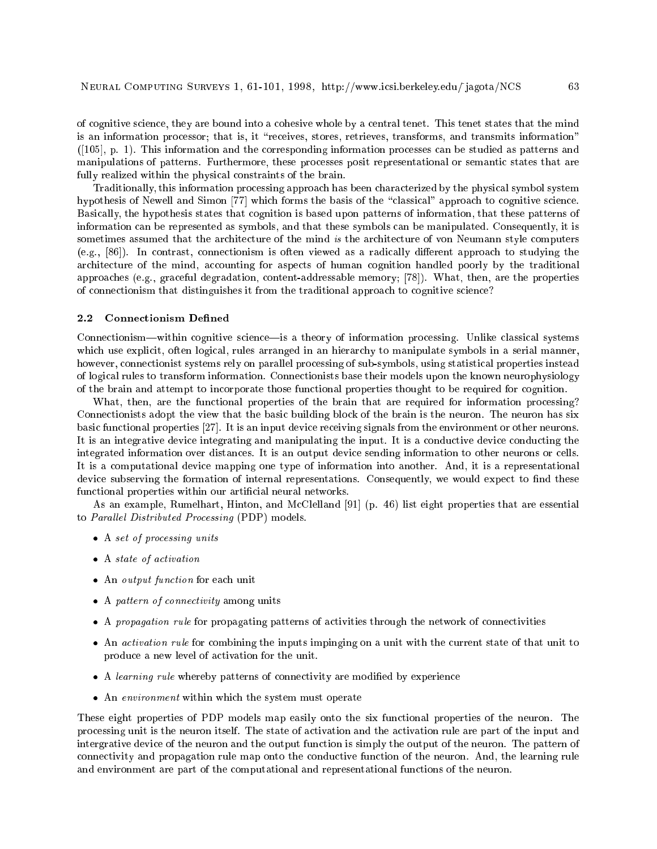of cognitive science, they are bound into a cohesive whole by a central tenet. This tenet states that the mind is an information processor; that is, it "receives, stores, retrieves, transforms, and transmits information" ([105], p. 1). This information and the corresponding information processes can be studied as patterns and manipulations of patterns. Furthermore, these processes posit representational or semantic states that are fully realized within the physical constraints of the brain.

Traditionally, this information processing approach has been characterized by the physical symbol system hypothesis of Newell and Simon [77] which forms the basis of the "classical" approach to cognitive science. Basically, the hypothesis states that cognition is based upon patterns of information, that these patterns of information can be represented as symbols, and that these symbols can be manipulated. Consequently, it is sometimes assumed that the architecture of the mind is the architecture of von Neumann style computers (e.g.,  $[86]$ ). In contrast, connectionism is often viewed as a radically different approach to studying the architecture of the mind, accounting for aspects of human cognition handled poorly by the traditional approaches (e.g., graceful degradation, content-addressable memory; [78]). What, then, are the properties of connectionism that distinguishes it from the traditional approach to cognitive science?

#### $2.2$ **Connectionism Defined**

Connectionism-within cognitive science-is a theory of information processing. Unlike classical systems which use explicit, often logical, rules arranged in an hierarchy to manipulate symbols in a serial manner, however, connectionist systems rely on parallel processing of sub-symbols, using statistical properties instead of logical rules to transform information. Connectionists base their models upon the known neurophysiology of the brain and attempt to incorporate those functional properties thought to be required for cognition.

What, then, are the functional properties of the brain that are required for information processing? Connectionists adopt the view that the basic building block of the brain is the neuron. The neuron has six basic functional properties [27]. It is an input device receiving signals from the environment or other neurons. It is an integrative device integrating and manipulating the input. It is a conductive device conducting the integrated information over distances. It is an output device sending information to other neurons or cells. It is a computational device mapping one type of information into another. And, it is a representational device subserving the formation of internal representations. Consequently, we would expect to find these functional properties within our articial neural networks.

As an example, Rumelhart, Hinton, and McClelland [91] (p. 46) list eight properties that are essential to Parallel Distributed Processing (PDP) models.

- A set of processing units
- a state of activation
- and an output function for each unit of the second unit
- a pattern of connectivity <del>and a</del> more
- A propagation rule for propagating patterns of activities through the network of connectivities
- An activation rule for combining the inputs impinging on a unit with the current state of the current state of that unit to that unit to the current state of that unit to that unit to that unit to that unit to that unit t produce a new level of activation for the unit.
- A learning rule whereby patterns of connectivity are modied by experience
- An environment within which the system must operate

These eight properties of PDP models map easily onto the six functional properties of the neuron. The processing unit is the neuron itself. The state of activation and the activation rule are part of the input and intergrative device of the neuron and the output function is simply the output of the neuron. The pattern of connectivity and propagation rule map onto the conductive function of the neuron. And, the learning rule and environment are part of the computational and representational functions of the neuron.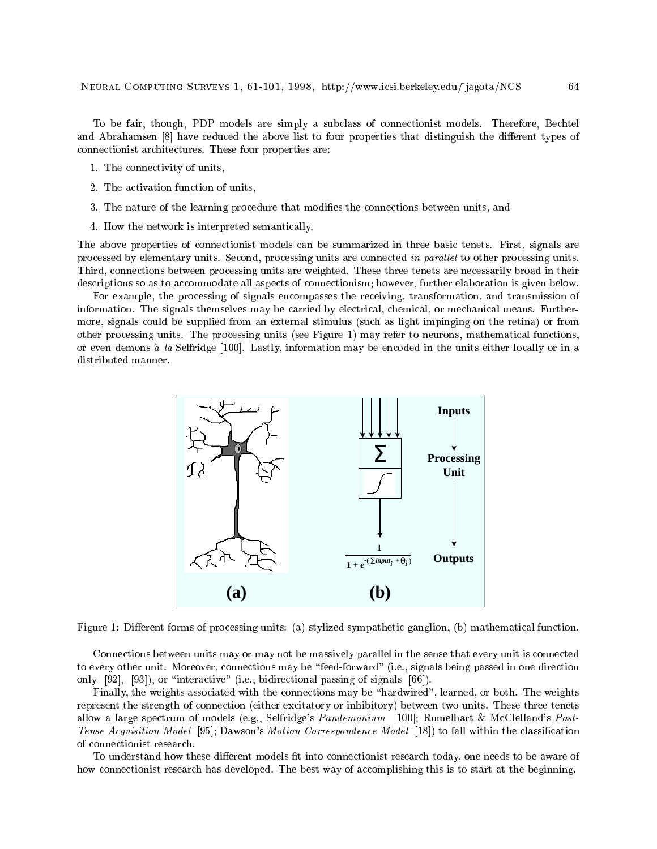To be fair, though, PDP models are simply a subclass of connectionist models. Therefore, Bechtel and Abrahamsen [8] have reduced the above list to four properties that distinguish the different types of connectionist architectures. These four properties are:

- 1. The connectivity of units,
- 2. The activation function of units,
- 3. The nature of the learning procedure that modies the connections between units, and
- 4. How the network is interpreted semantically.

The above properties of connectionist models can be summarized in three basic tenets. First, signals are processed by elementary units. Second, processing units are connected in parallel to other processing units. Third, connections between processing units are weighted. These three tenets are necessarily broad in their descriptions so as to accommodate all aspects of connectionism; however, further elaboration is given below.

For example, the processing of signals encompasses the receiving, transformation, and transmission of information. The signals themselves may be carried by electrical, chemical, or mechanical means. Furthermore, signals could be supplied from an external stimulus (such as light impinging on the retina) or from other processing units. The processing units (see Figure 1) may refer to neurons, mathematical functions, or even demons  $\alpha$  la Selfridge [100]. Lastly, information may be encoded in the units either locally or in a distributed manner.



Figure 1: Different forms of processing units: (a) stylized sympathetic ganglion, (b) mathematical function.

Connections between units may or may not be massively parallel in the sense that every unit is connected to every other unit. Moreover, connections may be \feed-forward" (i.e., signals being passed in one direction only  $[92]$ ,  $[93]$ , or "interactive" (i.e., bidirectional passing of signals  $[66]$ ).

Finally, the weights associated with the connections may be \hardwired", learned, or both. The weights represent the strength of connection (either excitatory or inhibitory) between two units. These three tenets allow a large spectrum of models (e.g., Selfridge's Pandemonium [100]; Rumelhart & McClelland's Past-Tense Acquisition Model [95]; Dawson's Motion Correspondence Model [18]) to fall within the classication of connectionist research.

To understand how these different models fit into connectionist research today, one needs to be aware of how connectionist research has developed. The best way of accomplishing this is to start at the beginning.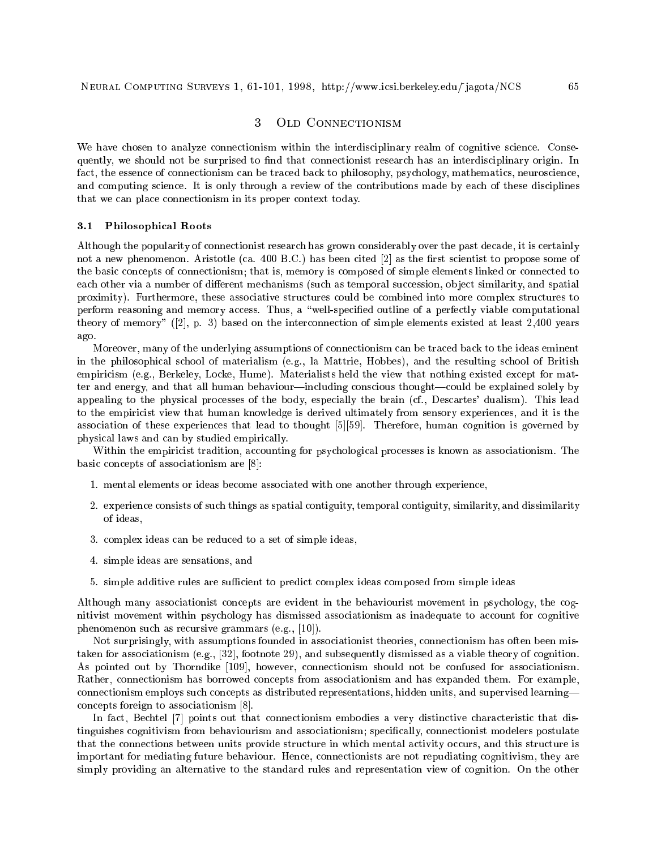#### OLD CONNECTIONISM  $\overline{3}$

We have chosen to analyze connectionism within the interdisciplinary realm of cognitive science. Consequently, we should not be surprised to find that connectionist research has an interdisciplinary origin. In fact, the essence of connectionism can be traced back to philosophy, psychology, mathematics, neuroscience, and computing science. It is only through a review of the contributions made by each of these disciplines that we can place connectionism in its proper context today.

#### 3.1 Philosophical Roots

Although the popularity of connectionist research has grown considerably over the past decade, it is certainly not a new phenomenon. Aristotle (ca. 400 B.C.) has been cited [2] as the first scientist to propose some of the basic concepts of connectionism; that is, memory is composed of simple elements linked or connected to each other via a number of different mechanisms (such as temporal succession, object similarity, and spatial proximity). Furthermore, these associative structures could be combined into more complex structures to perform reasoning and memory access. Thus, a "well-specified outline of a perfectly viable computational theory of memory" ([2], p. 3) based on the interconnection of simple elements existed at least 2,400 years ago.

Moreover, many of the underlying assumptions of connectionism can be traced back to the ideas eminent in the philosophical school of materialism (e.g., la Mattrie, Hobbes), and the resulting school of British empiricism (e.g., Berkeley, Locke, Hume). Materialists held the view that nothing existed except for matter and energy, and that all human behaviour—including conscious thought—could be explained solely by appealing to the physical processes of the body, especially the brain (cf., Descartes' dualism). This lead to the empiricist view that human knowledge is derived ultimately from sensory experiences, and it is the association of these experiences that lead to thought [5][59]. Therefore, human cognition is governed by physical laws and can by studied empirically.

Within the empiricist tradition, accounting for psychological processes is known as associationism. The basic concepts of associationism are [8]:

- 1. mental elements or ideas become associated with one another through experience,
- 2. experience consists of such things as spatial contiguity, temporal contiguity, similarity, and dissimilarity of ideas,
- 3. complex ideas can be reduced to a set of simple ideas,
- 4. simple ideas are sensations, and
- 5. simple additive rules are sufficient to predict complex ideas composed from simple ideas

Although many associationist concepts are evident in the behaviourist movement in psychology, the cognitivist movement within psychology has dismissed associationism as inadequate to account for cognitive phenomenon such as recursive grammars (e.g., [10]).

Not surprisingly, with assumptions founded in associationist theories, connectionism has often been mistaken for associationism (e.g., [32], footnote 29), and subsequently dismissed as a viable theory of cognition. As pointed out by Thorndike [109], however, connectionism should not be confused for associationism. Rather, connectionism has borrowed concepts from associationism and has expanded them. For example, connectionism employs such concepts as distributed representations, hidden units, and supervised learning| concepts foreign to associationism [8].

In fact, Bechtel [7] points out that connectionism embodies a very distinctive characteristic that distinguishes cognitivism from behaviourism and associationism; specically, connectionist modelers postulate that the connections between units provide structure in which mental activity occurs, and this structure is important for mediating future behaviour. Hence, connectionists are not repudiating cognitivism, they are simply providing an alternative to the standard rules and representation view of cognition. On the other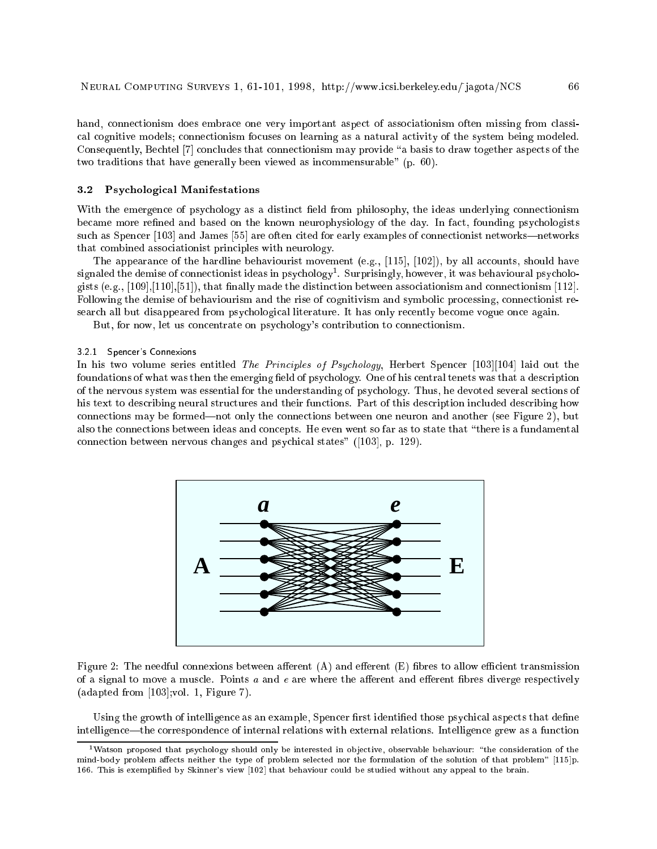hand, connectionism does embrace one very important aspect of associationism often missing from classical cognitive models; connectionism focuses on learning as a natural activity of the system being modeled. Consequently, Bechtel [7] concludes that connectionism may provide "a basis to draw together aspects of the two traditions that have generally been viewed as incommensurable" (p. 60).

# 3.2 Psychological Manifestations

With the emergence of psychology as a distinct field from philosophy, the ideas underlying connectionism became more refined and based on the known neurophysiology of the day. In fact, founding psychologists such as Spencer [103] and James [55] are often cited for early examples of connectionist networks—networks that combined associationist principles with neurology.

The appearance of the hardline behaviourist movement (e.g., [115], [102]), by all accounts, should have signaled the demise of connectionist ideas in psychology". Surprisingly, however, it was behavioural psychologists (e.g.,  $[109], [110], [51]$ ), that finally made the distinction between associationism and connectionism [112]. Following the demise of behaviourism and the rise of cognitivism and symbolic processing, connectionist research all but disappeared from psychological literature. It has only recently become vogue once again.

But, for now, let us concentrate on psychology's contribution to connectionism.

# 3.2.1 Spencer's Connexions

In his two volume series entitled The Principles of Psychology, Herbert Spencer [103][104] laid out the foundations of what was then the emerging field of psychology. One of his central tenets was that a description of the nervous system was essential for the understanding of psychology. Thus, he devoted several sections of his text to describing neural structures and their functions. Part of this description included describing how connections may be formed—not only the connections between one neuron and another (see Figure 2), but also the connections between ideas and concepts. He even went so far as to state that \there is a fundamental connection between nervous changes and psychical states" ([103], p. 129).



Figure 2: The needful connexions between afferent  $(A)$  and efferent  $(E)$  fibres to allow efficient transmission of a signal to move a muscle. Points  $a$  and  $e$  are where the afferent and efferent fibres diverge respectively (adapted from [103];vol. 1, Figure 7).

Using the growth of intelligence as an example, Spencer first identified those psychical aspects that define intelligence—the correspondence of internal relations with external relations. Intelligence grew as a function

 $1$ Watson proposed that psychology should only be interested in objective, observable behaviour: "the consideration of the mind-body problem affects neither the type of problem selected nor the formulation of the solution of that problem" [115]p. 166. This is exemplied by Skinner's view [102] that behaviour could be studied without any appeal to the brain.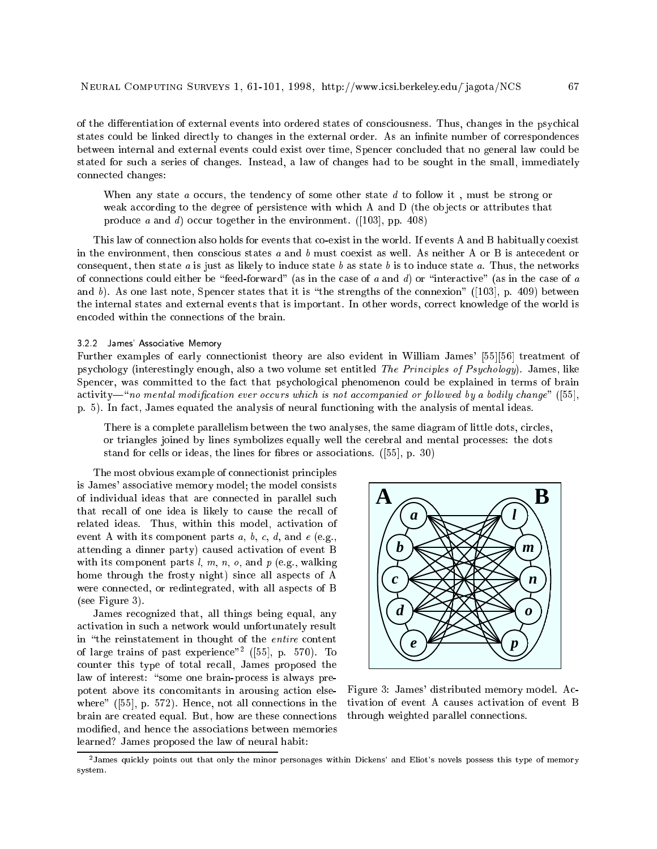of the differentiation of external events into ordered states of consciousness. Thus, changes in the psychical states could be linked directly to changes in the external order. As an infinite number of correspondences between internal and external events could exist over time, Spencer concluded that no general law could be stated for such a series of changes. Instead, a law of changes had to be sought in the small, immediately connected changes:

When any state a occurs, the tendency of some other state d to follow it, must be strong or weak according to the degree of persistence with which A and D (the objects or attributes that produce a and d) occur together in the environment. ([103], pp. 408)

This law of connection also holds for events that co-exist in the world. If events A and B habitually coexist in the environment, then conscious states  $a$  and  $b$  must coexist as well. As neither A or B is antecedent or consequent, then state a is just as likely to induce state b as state b is to induce state a. Thus, the networks of connections could either be "feed-forward" (as in the case of a and d) or "interactive" (as in the case of a and b). As one last note, Spencer states that it is "the strengths of the connexion" ([103], p. 409) between the internal states and external events that is important. In other words, correct knowledge of the world is encoded within the connections of the brain.

# 3.2.2 James' Associative Memory

Further examples of early connectionist theory are also evident in William James' [55][56] treatment of psychology (interestingly enough, also a two volume set entitled The Principles of Psychology). James, like Spencer, was committed to the fact that psychological phenomenon could be explained in terms of brain  $activity$ <sup>-"</sup>no mental modification ever occurs which is not accompanied or followed by a bodily change" ([55], p. 5). In fact, James equated the analysis of neural functioning with the analysis of mental ideas.

There is a complete parallelism between the two analyses, the same diagram of little dots, circles, or triangles joined by lines symbolizes equally well the cerebral and mental processes: the dots stand for cells or ideas, the lines for fibres or associations. ([55], p. 30)

The most obvious example of connectionist principles is James' associative memory model; the model consists of individual ideas that are connected in parallel such that recall of one idea is likely to cause the recall of related ideas. Thus, within this model, activation of event A with its component parts  $a, b, c, d$ , and  $e$  (e.g., attending a dinner party) caused activation of event B with its component parts  $l, m, n, o$ , and  $p$  (e.g., walking home through the frosty night) since all aspects of A were connected, or redintegrated, with all aspects of B (see Figure 3).

James recognized that, all things being equal, any activation in such a network would unfortunately result in "the reinstatement in thought of the entire content of large trains of past experience"<sup>2</sup> ([55], p. 570). To counter this type of total recall, James proposed the law of interest: "some one brain-process is always prepotent above its concomitants in arousing action elsewhere" ([55], p. 572). Hence, not all connections in the brain are created equal. But, how are these connections modied, and hence the associations between memories learned? James proposed the law of neural habit:



Figure 3: James' distributed memory model. Activation of event A causes activation of event B through weighted parallel connections.

<sup>2</sup> James quickly points out that only the minor personages within Dickens' and Eliot's novels possess this type of memory system.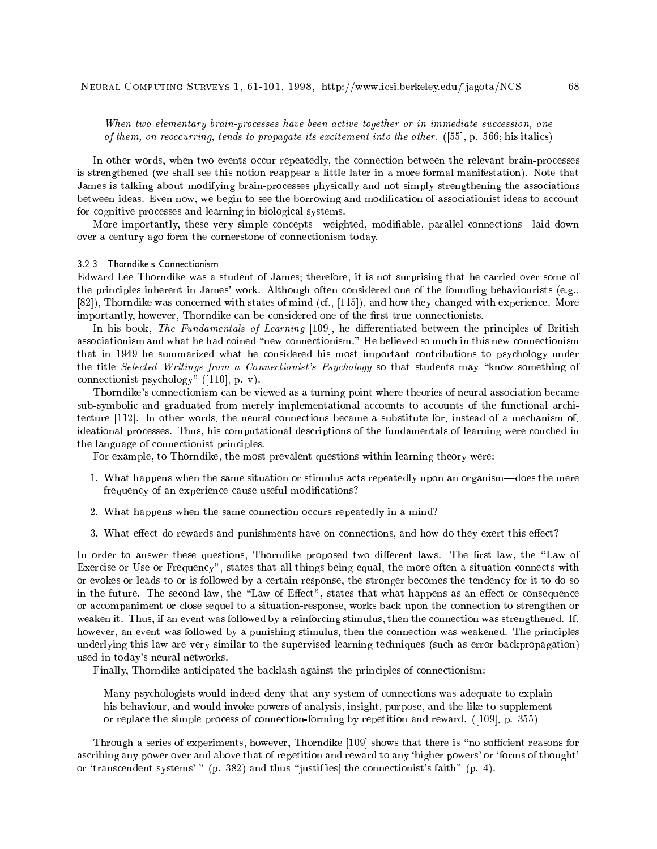When two elementary brain-processes have been active together or in immediate succession, one of them, on reoccurring, tends to propagate its excitement into the other. ([55], p. 566; his italics)

In other words, when two events occur repeatedly, the connection between the relevant brain-processes is strengthened (we shall see this notion reappear a little later in a more formal manifestation). Note that James is talking about modifying brain-processes physically and not simply strengthening the associations between ideas. Even now, we begin to see the borrowing and modification of associationist ideas to account for cognitive processes and learning in biological systems.

More importantly, these very simple concepts—weighted, modifiable, parallel connections—laid down over a century ago form the cornerstone of connectionism today.

# 3.2.3 Thorndike's Connectionism

Edward Lee Thorndike was a student of James; therefore, it is not surprising that he carried over some of the principles inherent in James' work. Although often considered one of the founding behaviourists (e.g., [82]), Thorndike was concerned with states of mind (cf., [115]), and how they changed with experience. More importantly, however, Thorndike can be considered one of the first true connectionists.

In his book, The Fundamentals of Learning [109], he differentiated between the principles of British associationism and what he had coined "new connectionism." He believed so much in this new connectionism that in 1949 he summarized what he considered his most important contributions to psychology under the title Selected Writings from a Connectionist's Psychology so that students may "know something of connectionist psychology" ([110], p. v).

Thorndike's connectionism can be viewed as a turning point where theories of neural association became sub-symbolic and graduated from merely implementational accounts to accounts of the functional architecture [112]. In other words, the neural connections became a substitute for, instead of a mechanism of, ideational processes. Thus, his computational descriptions of the fundamentals of learning were couched in the language of connectionist principles.

For example, to Thorndike, the most prevalent questions within learning theory were:

- 1. What happens when the same situation or stimulus acts repeatedly upon an organism—does the mere frequency of an experience cause useful modications?
- 2. What happens when the same connection occurs repeatedly in a mind?
- 3. What effect do rewards and punishments have on connections, and how do they exert this effect?

In order to answer these questions, Thorndike proposed two different laws. The first law, the "Law of Exercise or Use or Frequency", states that all things being equal, the more often a situation connects with or evokes or leads to or is followed by a certain response, the stronger becomes the tendency for it to do so in the future. The second law, the "Law of Effect", states that what happens as an effect or consequence or accompaniment or close sequel to a situation-response, works back upon the connection to strengthen or weaken it. Thus, if an event was followed by a reinforcing stimulus, then the connection was strengthened. If, however, an event was followed by a punishing stimulus, then the connection was weakened. The principles underlying this law are very similar to the supervised learning techniques (such as error backpropagation) used in today's neural networks.

Finally, Thorndike anticipated the backlash against the principles of connectionism:

Many psychologists would indeed deny that any system of connections was adequate to explain his behaviour, and would invoke powers of analysis, insight, purpose, and the like to supplement or replace the simple process of connection-forming by repetition and reward. ([109], p. 355)

Through a series of experiments, however, Thorndike [109] shows that there is "no sufficient reasons for ascribing any power over and above that of repetition and reward to any 'higher powers' or 'forms of thought' or 'transcendent systems' " (p. 382) and thus "justiffies] the connectionist's faith" (p. 4).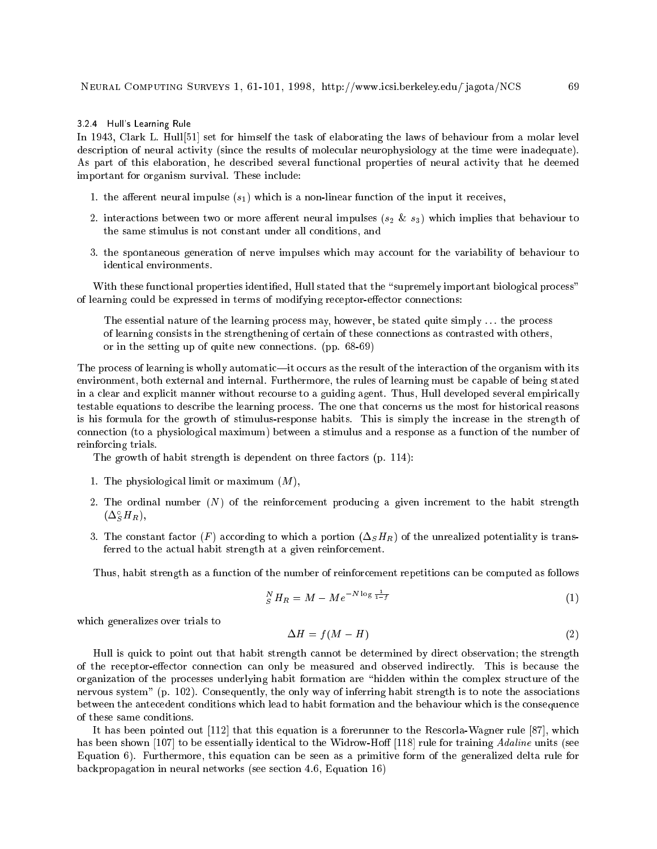#### 3.2.4 Hull's Learning Rule

In 1943, Clark L. Hull[51] set for himself the task of elaborating the laws of behaviour from a molar level description of neural activity (since the results of molecular neurophysiology at the time were inadequate). As part of this elaboration, he described several functional properties of neural activity that he deemed important for organism survival. These include:

- 1. the afferent neural impulse  $(s_1)$  which is a non-linear function of the input it receives,
- 2. interactions between two or more aerent neural impulses (s2 & s3) which implies that behaviour to the same stimulus is not constant under all conditions, and
- 3. the spontaneous generation of nerve impulses which may account for the variability of behaviour to identical environments.

With these functional properties identified, Hull stated that the "supremely important biological process" of learning could be expressed in terms of modifying receptor-effector connections:

The essential nature of the learning process may, however, be stated quite simply ... the process of learning consists in the strengthening of certain of these connections as contrasted with others, or in the setting up of quite new connections. (pp. 68-69)

The process of learning is wholly automatic—it occurs as the result of the interaction of the organism with its environment, both external and internal. Furthermore, the rules of learning must be capable of being stated in a clear and explicit manner without recourse to a guiding agent. Thus, Hull developed several empirically testable equations to describe the learning process. The one that concerns us the most for historical reasons is his formula for the growth of stimulus-response habits. This is simply the increase in the strength of connection (to a physiological maximum) between a stimulus and a response as a function of the number of reinforcing trials.

The growth of habit strength is dependent on three factors (p. 114):

- 1. The physiological limit or maximum  $(M)$ ,
- 2. The ordinal number  $(N)$  of the reinforcement producing a given increment to the habit strength  $\left(\Delta_{S}H_{R}\right),$
- 3. The constant factor (F) according to which a portion  $(\Delta_S H_R)$  of the unrealized potentiality is transferred to the actual habit strength at a given reinforcement.

Thus, habit strength as a function of the number of reinforcement repetitions can be computed as follows

$$
{}_{S}^{N}H_{R}=M-Me^{-N\log\frac{1}{1-f}} \tag{1}
$$

which generalizes over trials to

$$
\Delta H = f(M - H) \tag{2}
$$

Hull is quick to point out that habit strength cannot be determined by direct observation; the strength of the receptor-effector connection can only be measured and observed indirectly. This is because the organization of the processes underlying habit formation are \hidden within the complex structure of the nervous system" (p. 102). Consequently, the only way of inferring habit strength is to note the associations between the antecedent conditions which lead to habit formation and the behaviour which is the consequence of these same conditions.

It has been pointed out [112] that this equation is a forerunner to the Rescorla-Wagner rule [87], which has been shown [107] to be essentially identical to the Widrow-Hoff [118] rule for training Adaline units (see Equation 6). Furthermore, this equation can be seen as a primitive form of the generalized delta rule for backpropagation in neural networks (see section 4.6, Equation 16)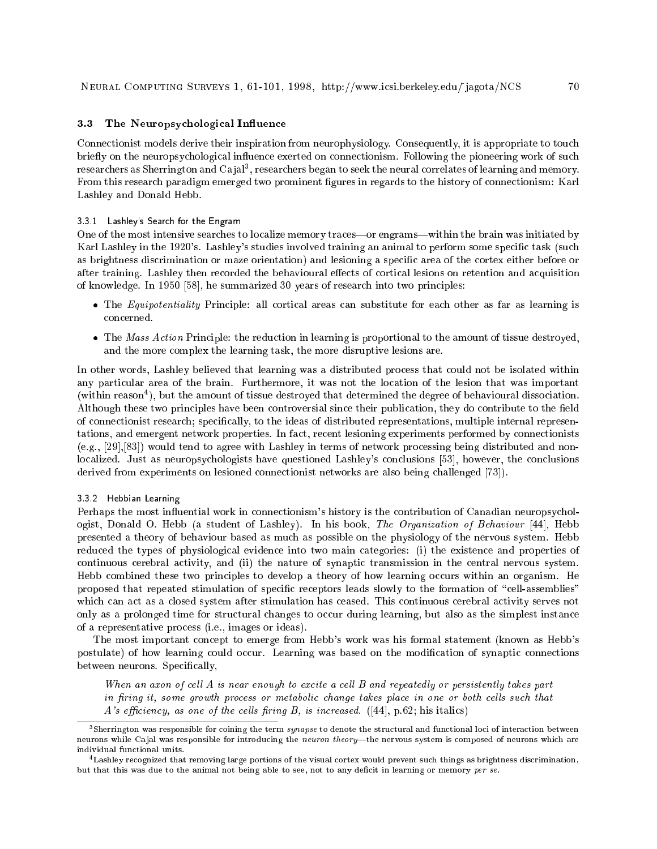# 3.3 The Neuropsychological Influence

Connectionist models derive their inspiration from neurophysiology. Consequently, it is appropriate to touch briefly on the neuropsychological influence exerted on connectionism. Following the pioneering work of such  $\epsilon$ researchers as Sherrington and Ca jar $\,$ , researchers began to seek the neural correlates of learning and memory. From this research paradigm emerged two prominent gures in regards to the history of connectionism: Karl Lashley and Donald Hebb.

#### 3.3.1 Lashley's Search for the Engram

One of the most intensive searches to localize memory traces—or engrams—within the brain was initiated by Karl Lashley in the 1920's. Lashley's studies involved training an animal to perform some specic task (such as brightness discrimination or maze orientation) and lesioning a specic area of the cortex either before or after training. Lashley then recorded the behavioural effects of cortical lesions on retention and acquisition of knowledge. In 1950 [58], he summarized 30 years of research into two principles:

- The Equipotentiality Principle: all cortical areas can substitute for each other as far as learning is concerned.
- The Mass Action Principle: the reduction in learning is proportional to the amount of tissue destroyed, and the more complex the learning task, the more disruptive lesions are.

In other words, Lashley believed that learning was a distributed process that could not be isolated within any particular area of the brain. Furthermore, it was not the location of the lesion that was important (within reason<sup>4</sup> ), but the amount of tissue destroyed that determined the degree of behavioural dissociation. Although these two principles have been controversial since their publication, they do contribute to the field of connectionist research; specically, to the ideas of distributed representations, multiple internal representations, and emergent network properties. In fact, recent lesioning experiments performed by connectionists (e.g., [29],[83]) would tend to agree with Lashley in terms of network processing being distributed and nonlocalized. Just as neuropsychologists have questioned Lashley's conclusions [53], however, the conclusions derived from experiments on lesioned connectionist networks are also being challenged [73]).

## 3.3.2 Hebbian Learning

Perhaps the most influential work in connectionism's history is the contribution of Canadian neuropsychologist, Donald O. Hebb (a student of Lashley). In his book, The Organization of Behaviour [44], Hebb presented a theory of behaviour based as much as possible on the physiology of the nervous system. Hebb reduced the types of physiological evidence into two main categories: (i) the existence and properties of continuous cerebral activity, and (ii) the nature of synaptic transmission in the central nervous system. Hebb combined these two principles to develop a theory of how learning occurs within an organism. He proposed that repeated stimulation of specific receptors leads slowly to the formation of "cell-assemblies" which can act as a closed system after stimulation has ceased. This continuous cerebral activity serves not only as a prolonged time for structural changes to occur during learning, but also as the simplest instance of a representative process (i.e., images or ideas).

The most important concept to emerge from Hebb's work was his formal statement (known as Hebb's postulate) of how learning could occur. Learning was based on the modification of synaptic connections between neurons. Specifically,

When an axon of cell  $A$  is near enough to excite a cell  $B$  and repeatedly or persistently takes part in firing it, some growth process or metabolic change takes place in one or both cells such that A's efficiency, as one of the cells firing B, is increased.  $([44], p.62;$  his italics)

 $\cdot$  sherrington was responsible for coining the term  $synapse$  to denote the structural and functional loci of interaction between neurons while Cajal was responsible for introducing the neuron theory—the nervous system is composed of neurons which are individual functional units.

<sup>4</sup> Lashley recognized that removing large portions of the visual cortex would prevent such things as brightness discrimination, but that this was due to the animal not being able to see, not to any deficit in learning or memory per se.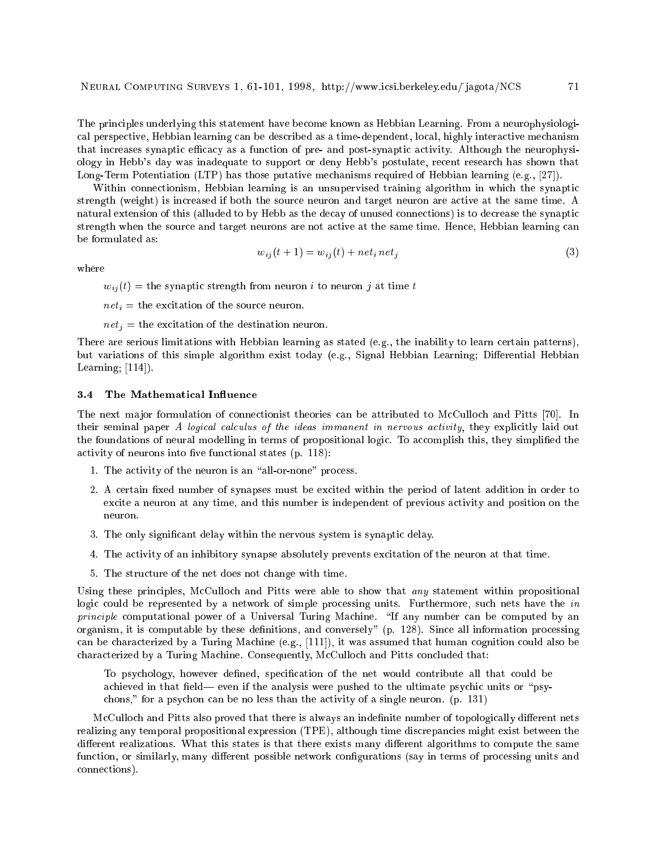The principles underlying this statement have become known as Hebbian Learning. From a neurophysiological perspective, Hebbian learning can be described as a time-dependent, local, highly interactive mechanism that increases synaptic efficacy as a function of pre- and post-synaptic activity. Although the neurophysiology in Hebb's day was inadequate to support or deny Hebb's postulate, recent research has shown that Long-Term Potentiation (LTP) has those putative mechanisms required of Hebbian learning (e.g., [27]).

Within connectionism, Hebbian learning is an unsupervised training algorithm in which the synaptic strength (weight) is increased if both the source neuron and target neuron are active at the same time. A natural extension of this (alluded to by Hebb as the decay of unused connections) is to decrease the synaptic strength when the source and target neurons are not active at the same time. Hence, Hebbian learning can

$$
w_{ij}(t+1) = w_{ij}(t) + net_i net_j \tag{3}
$$

where

 $w_{ij}(t)$  = the synaptic strength from neuron *i* to neuron *j* at time *t* 

 $net_i$  = the excitation of the source neuron.

 $net_i$  = the excitation of the destination neuron.

There are serious limitations with Hebbian learning as stated (e.g., the inability to learn certain patterns), but variations of this simple algorithm exist today (e.g., Signal Hebbian Learning; Differential Hebbian Learning;  $[114]$ .

#### The Mathematical Influence  $3.4$

The next major formulation of connectionist theories can be attributed to McCulloch and Pitts [70]. In their seminal paper A logical calculus of the ideas immanent in nervous activity, they explicitly laid out the foundations of neural modelling in terms of propositional logic. To accomplish this, they simplified the activity of neurons into five functional states  $(p. 118)$ :

- 1. The activity of the neuron is an "all-or-none" process.
- 2. A certain fixed number of synapses must be excited within the period of latent addition in order to excite a neuron at any time, and this number is independent of previous activity and position on the neuron.
- 3. The only signicant delay within the nervous system is synaptic delay.
- 4. The activity of an inhibitory synapse absolutely prevents excitation of the neuron at that time.
- 5. The structure of the net does not change with time.

Using these principles, McCulloch and Pitts were able to show that *any* statement within propositional logic could be represented by a network of simple processing units. Furthermore, such nets have the in principle computational power of a Universal Turing Machine. "If any number can be computed by an organism, it is computable by these definitions, and conversely" (p. 128). Since all information processing can be characterized by a Turing Machine (e.g., [111]), it was assumed that human cognition could also be characterized by a Turing Machine. Consequently, McCulloch and Pitts concluded that:

To psychology, however defined, specification of the net would contribute all that could be achieved in that field— even if the analysis were pushed to the ultimate psychic units or "psychons," for a psychon can be no less than the activity of a single neuron. (p. 131)

McCulloch and Pitts also proved that there is always an indefinite number of topologically different nets realizing any temporal propositional expression (TPE), although time discrepancies might exist between the different realizations. What this states is that there exists many different algorithms to compute the same function, or similarly, many different possible network configurations (say in terms of processing units and connections).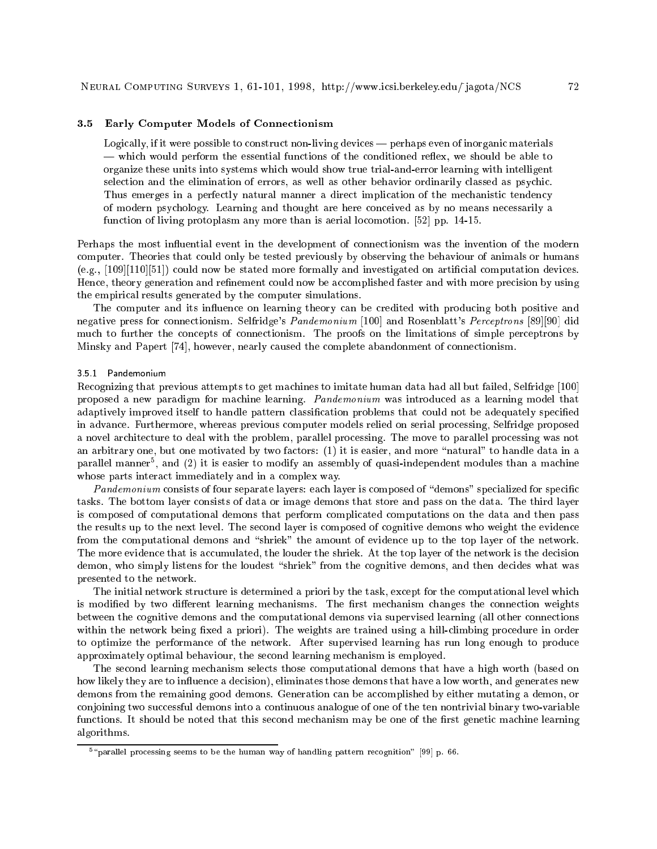#### 3.5 Early Computer Models of Connectionism

Logically, if it were possible to construct non-living devices  $-$  perhaps even of inorganic materials — which would perform the essential functions of the conditioned reflex, we should be able to organize these units into systems which would show true trial-and-error learning with intelligent selection and the elimination of errors, as well as other behavior ordinarily classed as psychic. Thus emerges in a perfectly natural manner a direct implication of the mechanistic tendency of modern psychology. Learning and thought are here conceived as by no means necessarily a function of living protoplasm any more than is aerial locomotion. [52] pp. 14-15.

Perhaps the most influential event in the development of connectionism was the invention of the modern computer. Theories that could only be tested previously by observing the behaviour of animals or humans (e.g., [109][110][51]) could now be stated more formally and investigated on articial computation devices. Hence, theory generation and refinement could now be accomplished faster and with more precision by using the empirical results generated by the computer simulations.

The computer and its influence on learning theory can be credited with producing both positive and negative press for connectionism. Selfridge's Pandemonium [100] and Rosenblatt's Perceptrons [89][90] did much to further the concepts of connectionism. The proofs on the limitations of simple perceptrons by Minsky and Papert [74], however, nearly caused the complete abandonment of connectionism.

#### 3.5.1 Pandemonium

Recognizing that previous attempts to get machines to imitate human data had all but failed, Selfridge [100] proposed a new paradigm for machine learning. Pandemonium was introduced as a learning model that adaptively improved itself to handle pattern classication problems that could not be adequately specied in advance. Furthermore, whereas previous computer models relied on serial processing, Selfridge proposed a novel architecture to deal with the problem, parallel processing. The move to parallel processing was not an arbitrary one, but one motivated by two factors: (1) it is easier, and more "natural" to handle data in a parafiel manner5, and (2) it is easier to modify an assembly of quasi-independent modules than a machine whose parts interact immediately and in a complex way.

Pandemonium consists of four separate layers: each layer is composed of "demons" specialized for specific tasks. The bottom layer consists of data or image demons that store and pass on the data. The third layer is composed of computational demons that perform complicated computations on the data and then pass the results up to the next level. The second layer is composed of cognitive demons who weight the evidence from the computational demons and "shriek" the amount of evidence up to the top layer of the network. The more evidence that is accumulated, the louder the shriek. At the top layer of the network is the decision demon, who simply listens for the loudest "shriek" from the cognitive demons, and then decides what was presented to the network.

The initial network structure is determined a priori by the task, except for the computational level which is modified by two different learning mechanisms. The first mechanism changes the connection weights between the cognitive demons and the computational demons via supervised learning (all other connections within the network being fixed a priori). The weights are trained using a hill-climbing procedure in order to optimize the performance of the network. After supervised learning has run long enough to produce approximately optimal behaviour, the second learning mechanism is employed.

The second learning mechanism selects those computational demons that have a high worth (based on how likely they are to influence a decision), eliminates those demons that have a low worth, and generates new demons from the remaining good demons. Generation can be accomplished by either mutating a demon, or conjoining two successful demons into a continuous analogue of one of the ten nontrivial binary two-variable functions. It should be noted that this second mechanism may be one of the first genetic machine learning algorithms.

 $^\circ$  "parallel processing seems to be the human way of handling pattern recognition"  $[\bar{9}9]$  p. 66.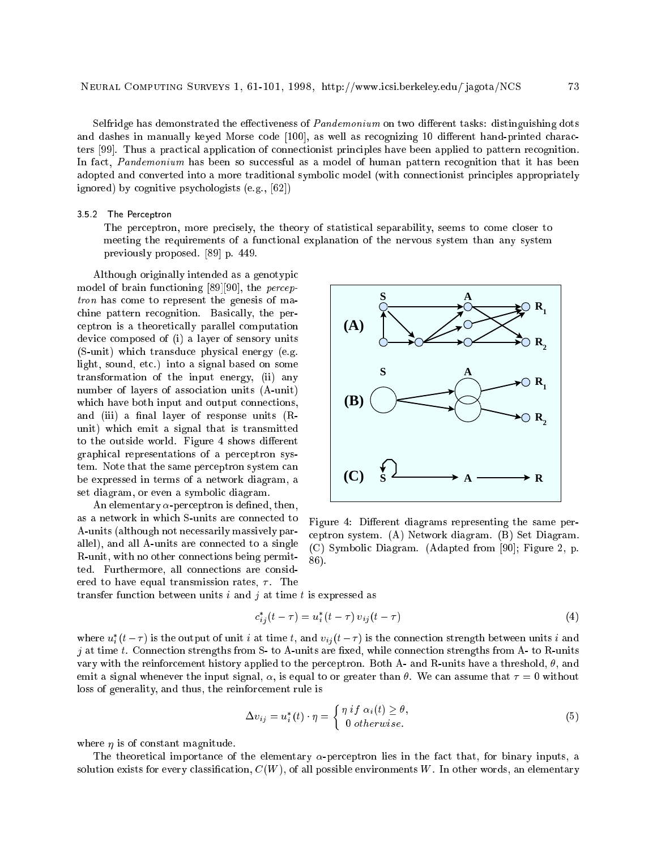Selfridge has demonstrated the effectiveness of *Pandemonium* on two different tasks: distinguishing dots and dashes in manually keyed Morse code [100], as well as recognizing 10 different hand-printed characters [99]. Thus a practical application of connectionist principles have been applied to pattern recognition. In fact, Pandemonium has been so successful as a model of human pattern recognition that it has been adopted and converted into a more traditional symbolic model (with connectionist principles appropriately ignored) by cognitive psychologists (e.g., [62])

#### 3.5.2 The Perceptron

The perceptron, more precisely, the theory of statistical separability, seems to come closer to meeting the requirements of a functional explanation of the nervous system than any system previously proposed. [89] p. 449.

Although originally intended as a genotypic model of brain functioning [89][90], the perceptron has come to represent the genesis of machine pattern recognition. Basically, the perceptron is a theoretically parallel computation device composed of (i) a layer of sensory units (S-unit) which transduce physical energy (e.g. light, sound, etc.) into a signal based on some transformation of the input energy, (ii) any number of layers of association units (A-unit) which have both input and output connections, and (iii) a final layer of response units  $(R$ unit) which emit a signal that is transmitted to the outside world. Figure 4 shows different graphical representations of a perceptron system. Note that the same perceptron system can be expressed in terms of a network diagram, a set diagram, or even a symbolic diagram.

An elementary  $\alpha$ -perceptron is defined, then, as a network in which S-units are connected to A-units (although not necessarily massively parallel), and all A-units are connected to a single R-unit, with no other connections being permitted. Furthermore, all connections are considered to have equal transmission rates,  $\tau$ . The



Figure 4: Different diagrams representing the same perceptron system. (A) Network diagram. (B) Set Diagram. (C) Symbolic Diagram. (Adapted from [90]; Figure 2, p. 86).

transfer function between units  $i$  and  $j$  at time  $t$  is expressed as

$$
c_{ij}^*(t-\tau) = u_i^*(t-\tau) \, v_{ij}(t-\tau) \tag{4}
$$

where  $u_i$  ( $t-\tau$ ) is the output of unit  $i$  at time  $t,$  and  $v_{ij}$  ( $t-\tau$ ) is the connection strength between units  $i$  and  $j$  at time  $t$ . Connection strengths from S- to A-units are fixed, while connection strengths from A- to R-units vary with the reinforcement history applied to the perceptron. Both A- and R-units have a threshold,  $\theta$ , and emit a signal whenever the input signal,  $\alpha$ , is equal to or greater than  $\theta$ . We can assume that  $\tau = 0$  without loss of generality, and thus, the reinforcement rule is

$$
\Delta v_{ij} = u_i^*(t) \cdot \eta = \begin{cases} \eta \text{ if } \alpha_i(t) \ge \theta, \\ 0 \text{ otherwise.} \end{cases}
$$
 (5)

where  $\eta$  is of constant magnitude.

The theoretical importance of the elementary  $\alpha$ -perceptron lies in the fact that, for binary inputs, a solution exists for every classification,  $C(W)$ , of all possible environments W. In other words, an elementary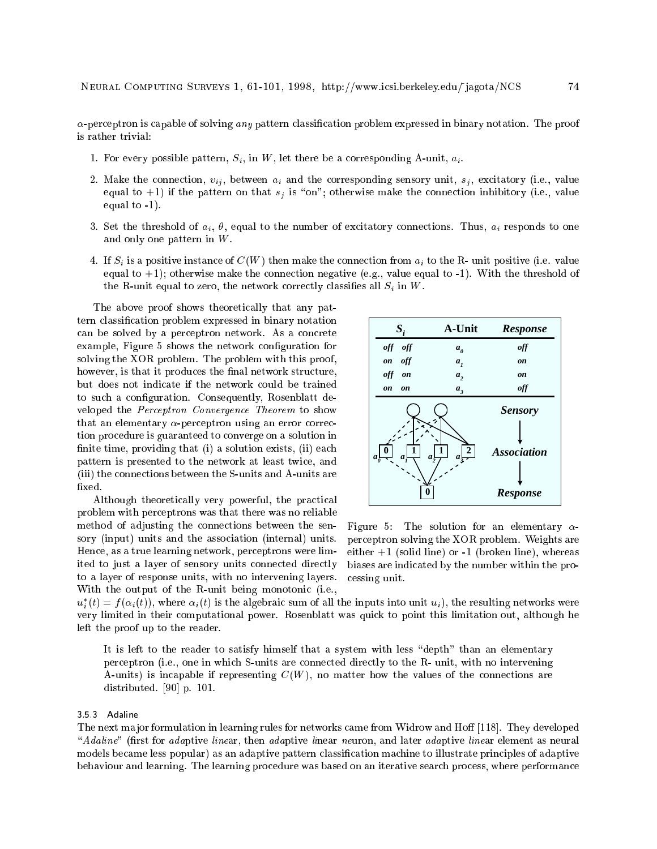$\alpha$ -perceptron is capable of solving any pattern classification problem expressed in binary notation. The proof is rather trivial:

- 1. For every possible pattern,  $S_i$ , in W, let there be a corresponding A-unit,  $a_i$ .
- 2. Make the connection,  $v_{ij}$ , between  $a_i$  and the corresponding sensory unit,  $s_j$ , excitatory (i.e., value equal to +1) if the pattern on that  $s_j$  is "on"; otherwise make the connection inhibitory (i.e., value equal to -1).
- 3. Set the threshold of  $a_i$ ,  $\theta$ , equal to the number of excitatory connections. Thus,  $a_i$  responds to one and only one pattern in W.
- 4. If  $S_i$  is a positive instance of  $C(W)$  then make the connection from  $a_i$  to the R- unit positive (i.e. value equal to  $+1$ ); otherwise make the connection negative (e.g., value equal to  $-1$ ). With the threshold of the R-unit equal to zero, the network correctly classifies all  $S_i$  in W.

The above proof shows theoretically that any pattern classication problem expressed in binary notation can be solved by a perceptron network. As a concrete example, Figure 5 shows the network conguration for solving the XOR problem. The problem with this proof, however, is that it produces the final network structure, but does not indicate if the network could be trained to such a configuration. Consequently, Rosenblatt developed the Perceptron Convergence Theorem to show that an elementary  $\alpha$ -perceptron using an error correction procedure is guaranteed to converge on a solution in finite time, providing that (i) a solution exists, (ii) each pattern is presented to the network at least twice, and (iii) the connections between the S-units and A-units are fixed.

Although theoretically very powerful, the practical problem with perceptrons was that there was no reliable method of adjusting the connections between the sensory (input) units and the association (internal) units. Hence, as a true learning network, perceptrons were limited to just a layer of sensory units connected directly to a layer of response units, with no intervening layers. With the output of the R-unit being monotonic (i.e.,



Figure 5: The solution for an elementary  $\alpha$ perceptron solving the XOR problem. Weights are either  $+1$  (solid line) or  $-1$  (broken line), whereas biases are indicated by the number within the processing unit.

 $u_i$  (i)  $=$  J ( $\alpha_i(t)$ ), where  $\alpha_i(t)$  is the algebraic sum of all the inputs into unit  $u_i$ ), the resulting networks were very limited in their computational power. Rosenblatt was quick to point this limitation out, although he left the proof up to the reader.

It is left to the reader to satisfy himself that a system with less "depth" than an elementary perceptron (i.e., one in which S-units are connected directly to the R- unit, with no intervening A-units) is incapable if representing  $C(W)$ , no matter how the values of the connections are distributed. [90] p. 101.

#### 3.5.3 Adaline

The next major formulation in learning rules for networks came from Widrow and Hoff [118]. They developed "Adaline" (first for adaptive linear, then adaptive linear neuron, and later adaptive linear element as neural models became less popular) as an adaptive pattern classication machine to illustrate principles of adaptive behaviour and learning. The learning procedure was based on an iterative search process, where performance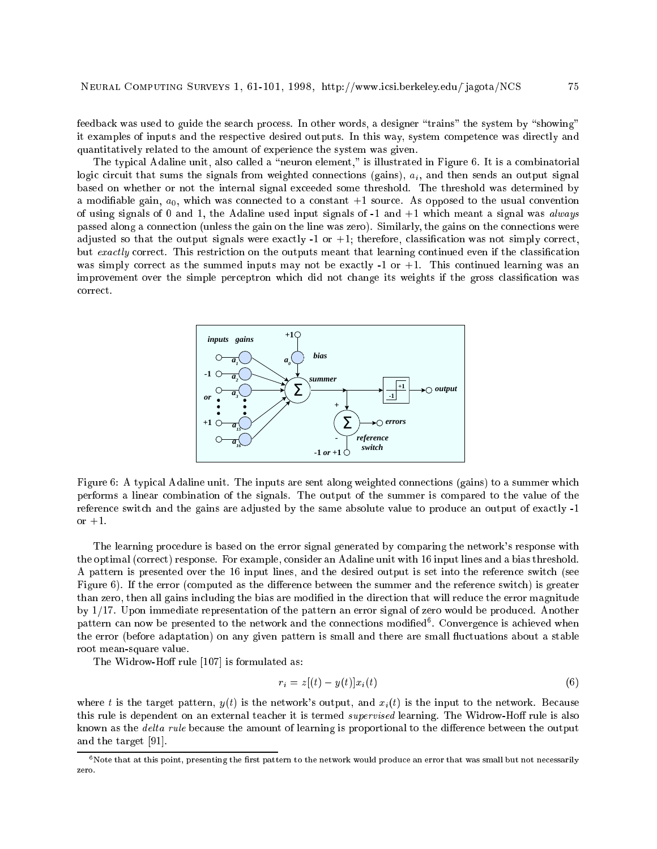feedback was used to guide the search process. In other words, a designer "trains" the system by "showing" it examples of inputs and the respective desired outputs. In this way, system competence was directly and quantitatively related to the amount of experience the system was given.

The typical Adaline unit, also called a "neuron element," is illustrated in Figure 6. It is a combinatorial logic circuit that sums the signals from weighted connections (gains),  $a_i$ , and then sends an output signal based on whether or not the internal signal exceeded some threshold. The threshold was determined by a modifiable gain,  $a_0$ , which was connected to a constant  $+1$  source. As opposed to the usual convention of using signals of 0 and 1, the Adaline used input signals of  $-1$  and  $+1$  which meant a signal was *always* passed along a connection (unless the gain on the line was zero). Similarly, the gains on the connections were adjusted so that the output signals were exactly  $-1$  or  $+1$ ; therefore, classification was not simply correct, but exactly correct. This restriction on the outputs meant that learning continued even if the classification was simply correct as the summed inputs may not be exactly -1 or +1. This continued learning was an improvement over the simple perceptron which did not change its weights if the gross classication was correct.



Figure 6: A typical Adaline unit. The inputs are sent along weighted connections (gains) to a summer which performs a linear combination of the signals. The output of the summer is compared to the value of the reference switch and the gains are adjusted by the same absolute value to produce an output of exactly -1 or  $+1$ .

The learning procedure is based on the error signal generated by comparing the network's response with the optimal (correct) response. For example, consider an Adaline unit with 16 input lines and a bias threshold. A pattern is presented over the 16 input lines, and the desired output is set into the reference switch (see Figure 6). If the error (computed as the difference between the summer and the reference switch) is greater than zero, then all gains including the bias are modied in the direction that will reduce the error magnitude by 1/17. Upon immediate representation of the pattern an error signal of zero would be produced. Another pattern can now be presented to the network and the connections modied<sup>6</sup> . Convergence is achieved when the error (before adaptation) on any given pattern is small and there are small fluctuations about a stable root mean-square value.

The Widrow-Hoff rule [107] is formulated as:

$$
r_i = z[(t) - y(t)]x_i(t) \tag{6}
$$

where t is the target pattern,  $y(t)$  is the network's output, and  $x_i(t)$  is the input to the network. Because this rule is dependent on an external teacher it is termed *supervised* learning. The Widrow-Hoff rule is also known as the *delta rule* because the amount of learning is proportional to the difference between the output and the target [91].

 $6$  Note that at this point, presenting the first pattern to the network would produce an error that was small but not necessarily zero.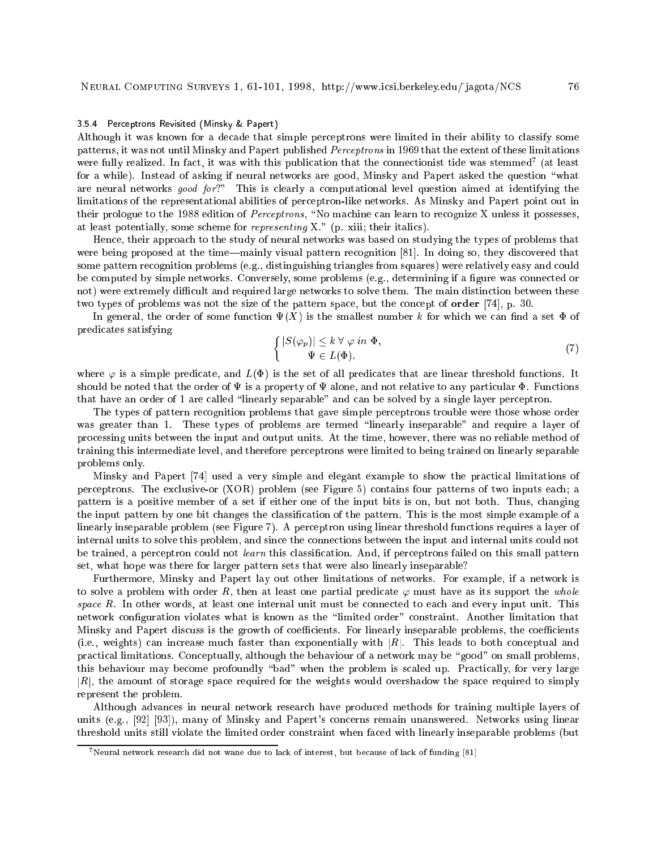#### 3.5.4 Perceptrons Revisited (Minsky & Papert)

Although it was known for a decade that simple perceptrons were limited in their ability to classify some patterns, it was not until Minsky and Papert published Perceptrons in 1969 that the extent of these limitations were fully realized. In fact, it was with this publication that the connectionist tide was stemmed<sup>7</sup> (at least for a while). Instead of asking if neural networks are good, Minsky and Papert asked the question "what are neural networks good for?" This is clearly a computational level question aimed at identifying the limitations of the representational abilities of perceptron-like networks. As Minsky and Papert point out in their prologue to the 1988 edition of Perceptrons, "No machine can learn to recognize X unless it possesses, at least potentially, some scheme for representing X." (p. xiii; their italics).

Hence, their approach to the study of neural networks was based on studying the types of problems that were being proposed at the time—mainly visual pattern recognition [81]. In doing so, they discovered that some pattern recognition problems (e.g., distinguishing triangles from squares) were relatively easy and could be computed by simple networks. Conversely, some problems (e.g., determining if a figure was connected or not) were extremely difficult and required large networks to solve them. The main distinction between these two types of problems was not the size of the pattern space, but the concept of order [74], p. 30.

In general, the order of some function  $\Psi(X)$  is the smallest number k for which we can find a set  $\Phi$  of predicates satisfying

$$
\begin{cases} |S(\varphi_p)| \le k \ \forall \ \varphi \ in \ \Phi, \\ \Psi \in L(\Phi). \end{cases} \tag{7}
$$

where  $\varphi$  is a simple predicate, and  $L(\Phi)$  is the set of all predicates that are linear threshold functions. It should be noted that the order of  $\Psi$  is a property of  $\Psi$  alone, and not relative to any particular  $\Phi$ . Functions that have an order of 1 are called \linearly separable" and can be solved by a single layer perceptron.

The types of pattern recognition problems that gave simple perceptrons trouble were those whose order was greater than 1. These types of problems are termed "linearly inseparable" and require a layer of processing units between the input and output units. At the time, however, there was no reliable method of training this intermediate level, and therefore perceptrons were limited to being trained on linearly separable problems only.

Minsky and Papert [74] used a very simple and elegant example to show the practical limitations of perceptrons. The exclusive-or (XOR) problem (see Figure 5) contains four patterns of two inputs each; a pattern is a positive member of a set if either one of the input bits is on, but not both. Thus, changing the input pattern by one bit changes the classication of the pattern. This is the most simple example of a linearly inseparable problem (see Figure 7). A perceptron using linear threshold functions requires a layer of internal units to solve this problem, and since the connections between the input and internal units could not be trained, a perceptron could not learn this classification. And, if perceptrons failed on this small pattern set, what hope was there for larger pattern sets that were also linearly inseparable?

Furthermore, Minsky and Papert lay out other limitations of networks. For example, if a network is to solve a problem with order R, then at least one partial predicate  $\varphi$  must have as its support the whole space R. In other words, at least one internal unit must be connected to each and every input unit. This network configuration violates what is known as the "limited order" constraint. Another limitation that Minsky and Papert discuss is the growth of coefficients. For linearly inseparable problems, the coefficients (i.e., weights) can increase much faster than exponentially with  $|R|$ . This leads to both conceptual and practical limitations. Conceptually, although the behaviour of a network may be "good" on small problems, this behaviour may become profoundly "bad" when the problem is scaled up. Practically, for very large  $|R|$ , the amount of storage space required for the weights would overshadow the space required to simply represent the problem.

Although advances in neural network research have produced methods for training multiple layers of units (e.g., [92] [93]), many of Minsky and Papert's concerns remain unanswered. Networks using linear threshold units still violate the limited order constraint when faced with linearly inseparable problems (but

 $^7$  Neural network research did not wane due to lack of interest, but because of lack of funding  $[81]$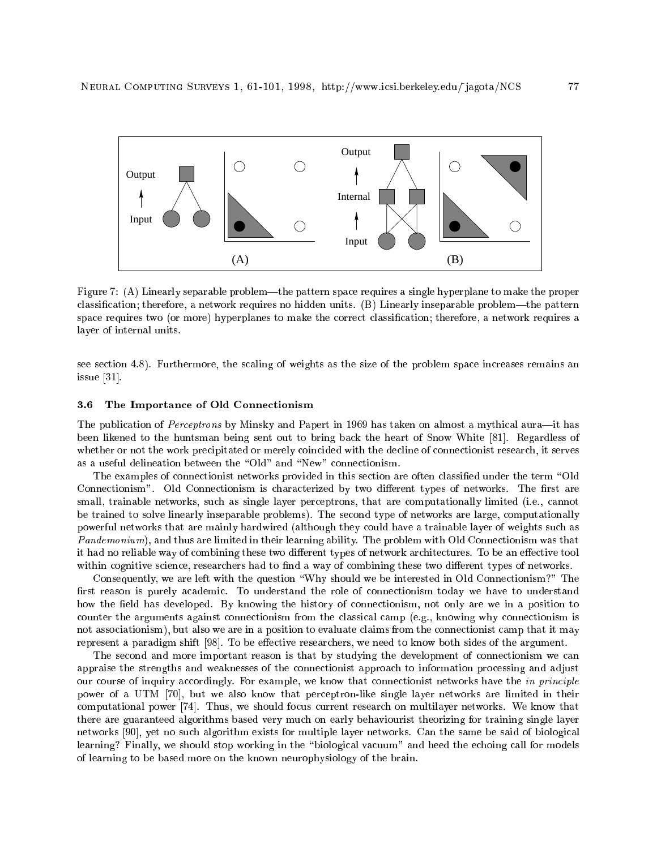

Figure 7: (A) Linearly separable problem—the pattern space requires a single hyperplane to make the proper classification; therefore, a network requires no hidden units.  $(B)$  Linearly inseparable problem—the pattern space requires two (or more) hyperplanes to make the correct classication; therefore, a network requires a layer of internal units.

see section 4.8). Furthermore, the scaling of weights as the size of the problem space increases remains an issue [31].

# 3.6 The Importance of Old Connectionism

The publication of Perceptrons by Minsky and Papert in 1969 has taken on almost a mythical aura-it has been likened to the huntsman being sent out to bring back the heart of Snow White [81]. Regardless of whether or not the work precipitated or merely coincided with the decline of connectionist research, it serves as a useful delineation between the "Old" and "New" connectionism.

The examples of connectionist networks provided in this section are often classified under the term "Old" Connectionism". Old Connectionism is characterized by two different types of networks. The first are small, trainable networks, such as single layer perceptrons, that are computationally limited (i.e., cannot be trained to solve linearly inseparable problems). The second type of networks are large, computationally powerful networks that are mainly hardwired (although they could have a trainable layer of weights such as Pandemonium), and thus are limited in their learning ability. The problem with Old Connectionism was that it had no reliable way of combining these two different types of network architectures. To be an effective tool within cognitive science, researchers had to find a way of combining these two different types of networks.

Consequently, we are left with the question \Why should we be interested in Old Connectionism?" The first reason is purely academic. To understand the role of connectionism today we have to understand how the field has developed. By knowing the history of connectionism, not only are we in a position to counter the arguments against connectionism from the classical camp (e.g., knowing why connectionism is not associationism), but also we are in a position to evaluate claims from the connectionist camp that it may represent a paradigm shift [98]. To be effective researchers, we need to know both sides of the argument.

The second and more important reason is that by studying the development of connectionism we can appraise the strengths and weaknesses of the connectionist approach to information processing and adjust our course of inquiry accordingly. For example, we know that connectionist networks have the in principle power of a UTM [70], but we also know that perceptron-like single layer networks are limited in their computational power [74]. Thus, we should focus current research on multilayer networks. We know that there are guaranteed algorithms based very much on early behaviourist theorizing for training single layer networks [90], yet no such algorithm exists for multiple layer networks. Can the same be said of biological learning? Finally, we should stop working in the "biological vacuum" and heed the echoing call for models of learning to be based more on the known neurophysiology of the brain.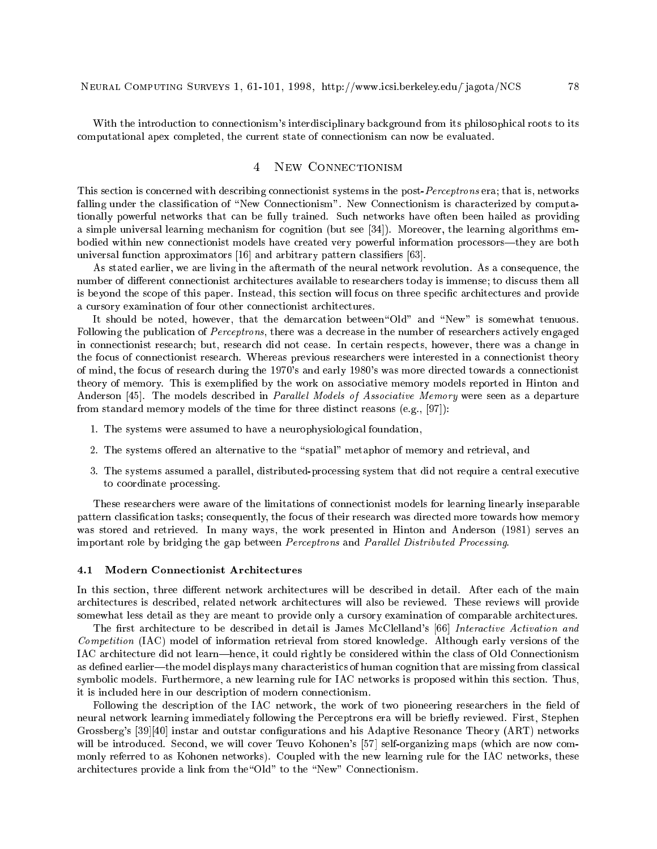With the introduction to connectionism's interdisciplinary background from its philosophical roots to its computational apex completed, the current state of connectionism can now be evaluated.

#### NEW CONNECTIONISM  $\overline{4}$

This section is concerned with describing connectionist systems in the post-Perceptrons era; that is, networks falling under the classification of "New Connectionism". New Connectionism is characterized by computationally powerful networks that can be fully trained. Such networks have often been hailed as providing a simple universal learning mechanism for cognition (but see [34]). Moreover, the learning algorithms embodied within new connectionist models have created very powerful information processors—they are both universal function approximators [16] and arbitrary pattern classifiers [63].

As stated earlier, we are living in the aftermath of the neural network revolution. As a consequence, the number of different connectionist architectures available to researchers today is immense; to discuss them all is beyond the scope of this paper. Instead, this section will focus on three specic architectures and provide a cursory examination of four other connectionist architectures.

It should be noted, however, that the demarcation between"Old" and "New" is somewhat tenuous. Following the publication of Perceptrons, there was a decrease in the number of researchers actively engaged in connectionist research; but, research did not cease. In certain respects, however, there was a change in the focus of connectionist research. Whereas previous researchers were interested in a connectionist theory of mind, the focus of research during the 1970's and early 1980's was more directed towards a connectionist theory of memory. This is exemplified by the work on associative memory models reported in Hinton and Anderson [45]. The models described in *Parallel Models of Associative Memory* were seen as a departure from standard memory models of the time for three distinct reasons (e.g., [97]):

- 1. The systems were assumed to have a neurophysiological foundation,
- 2. The systems offered an alternative to the "spatial" metaphor of memory and retrieval, and
- 3. The systems assumed a parallel, distributed-processing system that did not require a central executive to coordinate processing.

These researchers were aware of the limitations of connectionist models for learning linearly inseparable pattern classification tasks; consequently, the focus of their research was directed more towards how memory was stored and retrieved. In many ways, the work presented in Hinton and Anderson (1981) serves an important role by bridging the gap between Perceptrons and Parallel Distributed Processing.

# 4.1 Modern Connectionist Architectures

In this section, three different network architectures will be described in detail. After each of the main architectures is described, related network architectures will also be reviewed. These reviews will provide somewhat less detail as they are meant to provide only a cursory examination of comparable architectures.

The first architecture to be described in detail is James McClelland's [66] Interactive Activation and Competition (IAC) model of information retrieval from stored knowledge. Although early versions of the IAC architecture did not learn—hence, it could rightly be considered within the class of Old Connectionism as defined earlier—the model displays many characteristics of human cognition that are missing from classical symbolic models. Furthermore, a new learning rule for IAC networks is proposed within this section. Thus, it is included here in our description of modern connectionism.

Following the description of the IAC network, the work of two pioneering researchers in the field of neural network learning immediately following the Perceptrons era will be briefly reviewed. First, Stephen Grossberg's [39][40] instar and outstar configurations and his Adaptive Resonance Theory (ART) networks will be introduced. Second, we will cover Teuvo Kohonen's [57] self-organizing maps (which are now commonly referred to as Kohonen networks). Coupled with the new learning rule for the IAC networks, these architectures provide a link from the "Old" to the "New" Connectionism.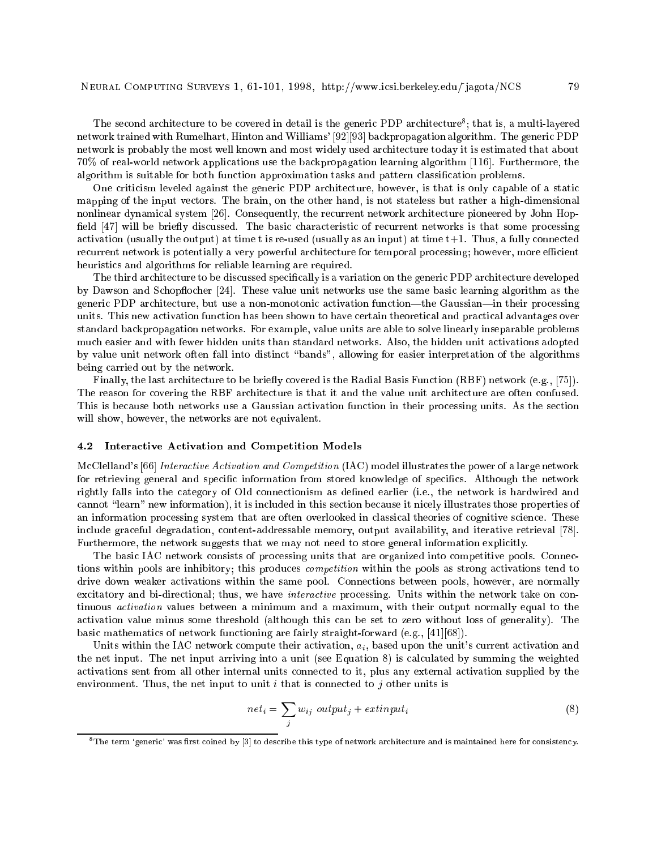The second architecture to be covered in detail is the generic PDP architecture ; that is, a multi-layered network trained with Rumelhart, Hinton and Williams' [92][93] backpropagation algorithm. The generic PDP network is probably the most well known and most widely used architecture today it is estimated that about 70% of real-world network applications use the backpropagation learning algorithm [116]. Furthermore, the algorithm is suitable for both function approximation tasks and pattern classication problems.

One criticism leveled against the generic PDP architecture, however, is that is only capable of a static mapping of the input vectors. The brain, on the other hand, is not stateless but rather a high-dimensional nonlinear dynamical system [26]. Consequently, the recurrent network architecture pioneered by John Hop field [47] will be briefly discussed. The basic characteristic of recurrent networks is that some processing activation (usually the output) at time t is re-used (usually as an input) at time  $t+1$ . Thus, a fully connected recurrent network is potentially a very powerful architecture for temporal processing; however, more efficient heuristics and algorithms for reliable learning are required.

The third architecture to be discussed specically is a variation on the generic PDP architecture developed by Dawson and Schopflocher [24]. These value unit networks use the same basic learning algorithm as the generic PDP architecture, but use a non-monotonic activation function—the Gaussian—in their processing units. This new activation function has been shown to have certain theoretical and practical advantages over standard backpropagation networks. For example, value units are able to solve linearly inseparable problems much easier and with fewer hidden units than standard networks. Also, the hidden unit activations adopted by value unit network often fall into distinct \bands", allowing for easier interpretation of the algorithms being carried out by the network.

Finally, the last architecture to be briefly covered is the Radial Basis Function (RBF) network (e.g., [75]). The reason for covering the RBF architecture is that it and the value unit architecture are often confused. This is because both networks use a Gaussian activation function in their processing units. As the section will show, however, the networks are not equivalent.

## 4.2 Interactive Activation and Competition Models

McClelland's [66] Interactive Activation and Competition (IAC) model illustrates the power of a large network for retrieving general and specific information from stored knowledge of specifics. Although the network rightly falls into the category of Old connectionism as defined earlier (i.e., the network is hardwired and cannot "learn" new information), it is included in this section because it nicely illustrates those properties of an information processing system that are often overlooked in classical theories of cognitive science. These include graceful degradation, content-addressable memory, output availability, and iterative retrieval [78]. Furthermore, the network suggests that we may not need to store general information explicitly.

The basic IAC network consists of processing units that are organized into competitive pools. Connections within pools are inhibitory; this produces *competition* within the pools as strong activations tend to drive down weaker activations within the same pool. Connections between pools, however, are normally excitatory and bi-directional; thus, we have interactive processing. Units within the network take on continuous activation values between a minimum and a maximum, with their output normally equal to the activation value minus some threshold (although this can be set to zero without loss of generality). The basic mathematics of network functioning are fairly straight-forward (e.g., [41][68]).

Units within the IAC network compute their activation,  $a_i$ , based upon the unit's current activation and the net input. The net input arriving into a unit (see Equation 8) is calculated by summing the weighted activations sent from all other internal units connected to it, plus any external activation supplied by the environment. Thus, the net input to unit  $i$  that is connected to  $j$  other units is

$$
net_i = \sum_j w_{ij} output_j + extinput_i \tag{8}
$$

 $^8$  The term 'generic' was first coined by [3] to describe this type of network architecture and is maintained here for consistency.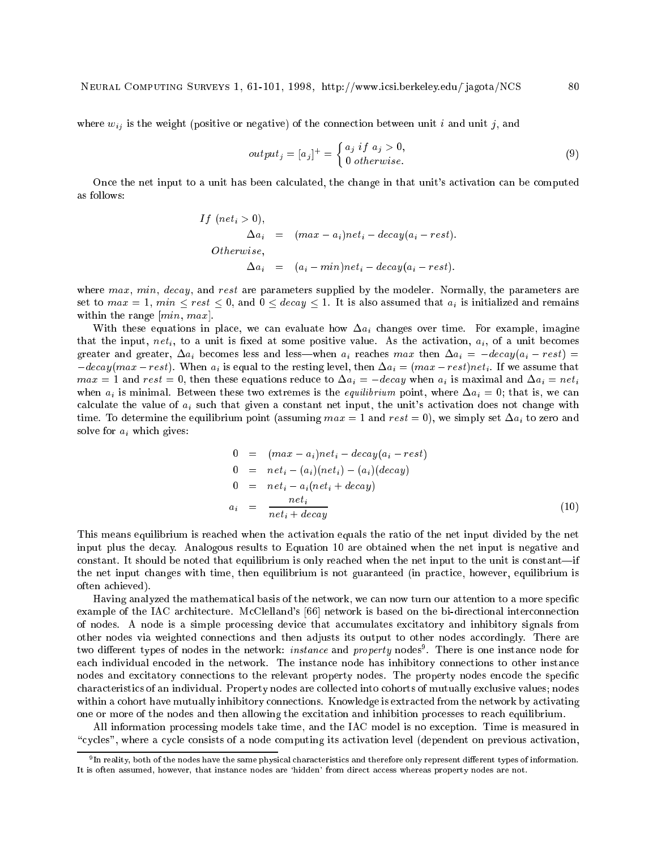where  $w_{ij}$  is the weight (positive or negative) of the connection between unit i and unit j, and

$$
output_j = [a_j]^+ = \begin{cases} a_j & \text{if } a_j > 0, \\ 0 & \text{otherwise.} \end{cases}
$$
\n
$$
(9)
$$

Once the net input to a unit has been calculated, the change in that unit's activation can be computed as follows:

If 
$$
(net_i > 0)
$$
,  
\n $\Delta a_i = (max - a_i)net_i - decay(a_i - rest)$ .  
\nOtherwise,  
\n $\Delta a_i = (a_i - min)net_i - decay(a_i - rest)$ .

where max, min, decay, and rest are parameters supplied by the modeler. Normally, the parameters are set to  $max = 1$ ,  $min \leq rest \leq 0$ , and  $0 \leq decay \leq 1$ . It is also assumed that  $a_i$  is initialized and remains within the range  $(min, max]$ .

With these equations in place, we can evaluate how  $\Delta a_i$  changes over time. For example, imagine that the input, net<sub>i</sub>, to a unit is fixed at some positive value. As the activation,  $a_i$ , of a unit becomes greater and greater,  $\Delta a_i$  becomes less and less—when  $a_i$  reaches max then  $\Delta a_i = -decay(a_i - rest)$  $-decay(max - rest)$ . When  $a_i$  is equal to the resting level, then  $\Delta a_i = (max - rest)net_i$ . If we assume that  $max = 1$  and  $rest = 0$ , then these equations reduce to  $\Delta a_i = -decay$  when  $a_i$  is maximal and  $\Delta a_i = net_i$ when  $a_i$  is minimal. Between these two extremes is the *equilibrium* point, where  $\Delta a_i = 0$ ; that is, we can calculate the value of  $a_i$  such that given a constant net input, the unit's activation does not change with time. To determine the equilibrium point (assuming  $max = 1$  and  $rest = 0$ ), we simply set  $\Delta a_i$  to zero and solve for  $a_i$  which gives:

$$
0 = (max - a_i)net_i - decay(a_i - rest)
$$
  
\n
$$
0 = net_i - (a_i)(net_i) - (a_i)(decay)
$$
  
\n
$$
0 = net_i - a_i(net_i + decay)
$$
  
\n
$$
a_i = \frac{net_i}{net_i + decay}
$$
\n(10)

This means equilibrium is reached when the activation equals the ratio of the net input divided by the net input plus the decay. Analogous results to Equation 10 are obtained when the net input is negative and constant. It should be noted that equilibrium is only reached when the net input to the unit is constant—if the net input changes with time, then equilibrium is not guaranteed (in practice, however, equilibrium is often achieved).

Having analyzed the mathematical basis of the network, we can now turn our attention to a more specific example of the IAC architecture. McClelland's [66] network is based on the bi-directional interconnection of nodes. A node is a simple processing device that accumulates excitatory and inhibitory signals from other nodes via weighted connections and then adjusts its output to other nodes accordingly. There are two different types of nodes in the network:  $\it{instance}$  and  $\it{property}$  nodes . There is one instance node for each individual encoded in the network. The instance node has inhibitory connections to other instance nodes and excitatory connections to the relevant property nodes. The property nodes encode the specific characteristics of an individual. Property nodes are collected into cohorts of mutually exclusive values; nodes within a cohort have mutually inhibitory connections. Knowledge is extracted from the network by activating one or more of the nodes and then allowing the excitation and inhibition processes to reach equilibrium.

All information processing models take time, and the IAC model is no exception. Time is measured in "cycles", where a cycle consists of a node computing its activation level (dependent on previous activation,

<sup>9</sup> In reality, both of the nodes have the same physical characteristics and therefore only represent dierent types of information. It is often assumed, however, that instance nodes are 'hidden' from direct access whereas property nodes are not.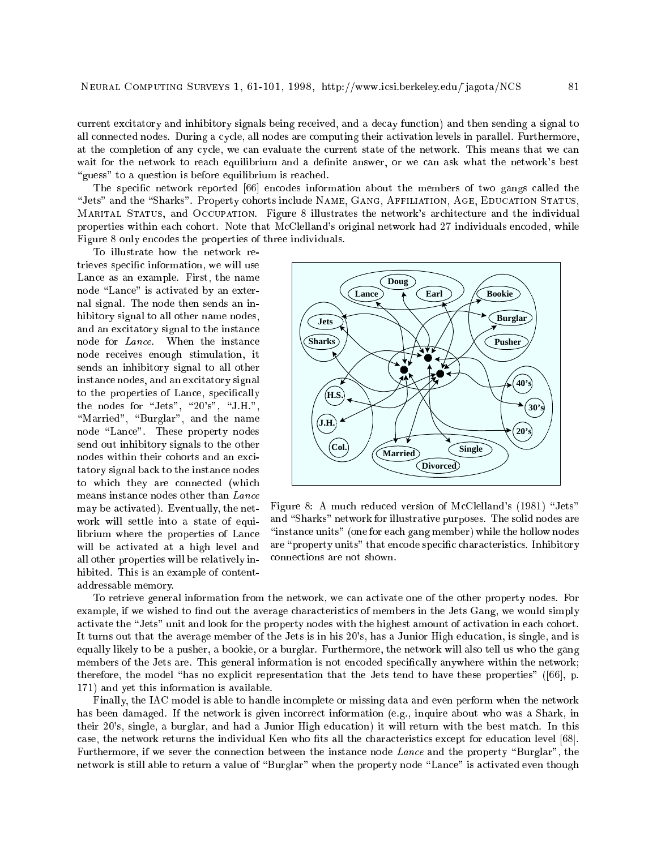current excitatory and inhibitory signals being received, and a decay function) and then sending a signal to all connected nodes. During a cycle, all nodes are computing their activation levels in parallel. Furthermore, at the completion of any cycle, we can evaluate the current state of the network. This means that we can wait for the network to reach equilibrium and a definite answer, or we can ask what the network's best "guess" to a question is before equilibrium is reached.

The specic network reported [66] encodes information about the members of two gangs called the "Jets" and the "Sharks". Property cohorts include NAME, GANG, AFFILIATION, AGE, EDUCATION STATUS, Marital Status, and Occupation. Figure 8 illustrates the network's architecture and the individual properties within each cohort. Note that McClelland's original network had 27 individuals encoded, while Figure 8 only encodes the properties of three individuals.

To illustrate how the network retrieves specic information, we will use Lance as an example. First, the name node "Lance" is activated by an external signal. The node then sends an inhibitory signal to all other name nodes, and an excitatory signal to the instance node for Lance. When the instance node receives enough stimulation, it sends an inhibitory signal to all other instance nodes, and an excitatory signal to the properties of Lance, specically the nodes for "Jets", "20's", "J.H.", "Married", "Burglar", and the name node "Lance". These property nodes send out inhibitory signals to the other nodes within their cohorts and an excitatory signal back to the instance nodes to which they are connected (which means instance nodes other than Lance may be activated). Eventually, the network will settle into a state of equilibrium where the properties of Lance will be activated at a high level and all other properties will be relatively inhibited. This is an example of contentaddressable memory.



Figure 8: A much reduced version of McClelland's (1981) "Jets" and "Sharks" network for illustrative purposes. The solid nodes are "instance units" (one for each gang member) while the hollow nodes are "property units" that encode specific characteristics. Inhibitory connections are not shown.

To retrieve general information from the network, we can activate one of the other property nodes. For example, if we wished to find out the average characteristics of members in the Jets Gang, we would simply activate the "Jets" unit and look for the property nodes with the highest amount of activation in each cohort. It turns out that the average member of the Jets is in his 20's, has a Junior High education, is single, and is equally likely to be a pusher, a bookie, or a burglar. Furthermore, the network will also tell us who the gang members of the Jets are. This general information is not encoded specifically anywhere within the network; therefore, the model "has no explicit representation that the Jets tend to have these properties" ( $[66]$ , p. 171) and yet this information is available.

Finally, the IAC model is able to handle incomplete or missing data and even perform when the network has been damaged. If the network is given incorrect information (e.g., inquire about who was a Shark, in their 20's, single, a burglar, and had a Junior High education) it will return with the best match. In this case, the network returns the individual Ken who fits all the characteristics except for education level [68]. Furthermore, if we sever the connection between the instance node Lance and the property "Burglar", the network is still able to return a value of "Burglar" when the property node "Lance" is activated even though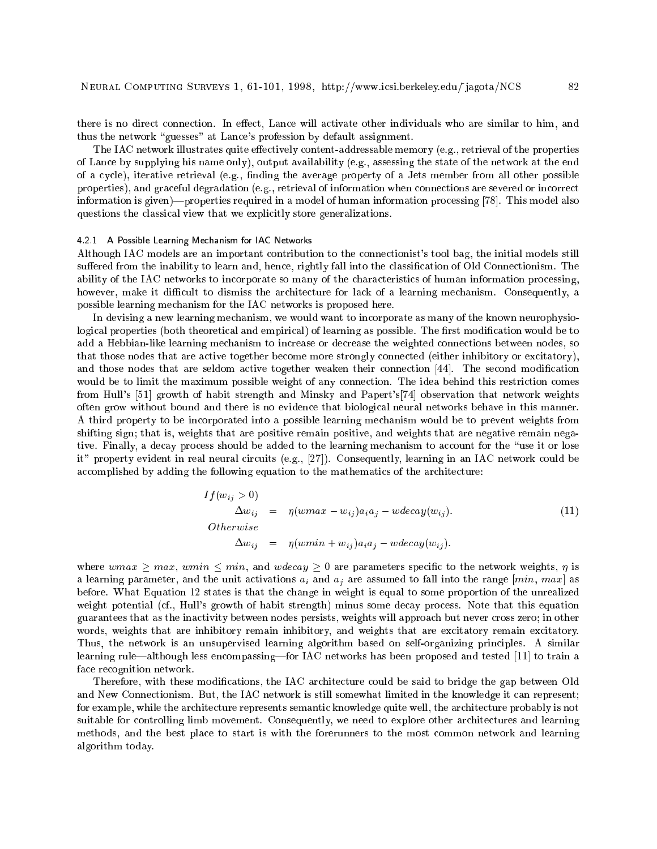there is no direct connection. In effect, Lance will activate other individuals who are similar to him, and thus the network "guesses" at Lance's profession by default assignment.

The IAC network illustrates quite effectively content-addressable memory (e.g., retrieval of the properties of Lance by supplying his name only), output availability (e.g., assessing the state of the network at the end of a cycle), iterative retrieval (e.g., nding the average property of a Jets member from all other possible properties), and graceful degradation (e.g., retrieval of information when connections are severed or incorrect information is given)—properties required in a model of human information processing [78]. This model also questions the classical view that we explicitly store generalizations.

# 4.2.1 A Possible Learning Mechanism for IAC Networks

Although IAC models are an important contribution to the connectionist's tool bag, the initial models still suffered from the inability to learn and, hence, rightly fall into the classification of Old Connectionism. The ability of the IAC networks to incorporate so many of the characteristics of human information processing, however, make it difficult to dismiss the architecture for lack of a learning mechanism. Consequently, a possible learning mechanism for the IAC networks is proposed here.

In devising a new learning mechanism, we would want to incorporate as many of the known neurophysiological properties (both theoretical and empirical) of learning as possible. The first modification would be to add a Hebbian-like learning mechanism to increase or decrease the weighted connections between nodes, so that those nodes that are active together become more strongly connected (either inhibitory or excitatory), and those nodes that are seldom active together weaken their connection [44]. The second modification would be to limit the maximum possible weight of any connection. The idea behind this restriction comes from Hull's [51] growth of habit strength and Minsky and Papert's[74] observation that network weights often grow without bound and there is no evidence that biological neural networks behave in this manner. A third property to be incorporated into a possible learning mechanism would be to prevent weights from shifting sign; that is, weights that are positive remain positive, and weights that are negative remain negative. Finally, a decay process should be added to the learning mechanism to account for the \use it or lose it" property evident in real neural circuits (e.g., [27]). Consequently, learning in an IAC network could be accomplished by adding the following equation to the mathematics of the architecture:

$$
If (w_{ij} > 0)
$$
  
\n
$$
\Delta w_{ij} = \eta(w \max - w_{ij}) a_i a_j - w \cdot d w_{ij}).
$$
  
\n
$$
Otherwise
$$
  
\n
$$
\Delta w_{ij} = \eta(w \min + w_{ij}) a_i a_j - w \cdot d w_{ij}.
$$
\n(11)

where wmax  $\geq$  max, wmin  $\leq$  min, and wdecay  $\geq$  0 are parameters specific to the network weights,  $\eta$  is a learning parameter, and the unit activations  $a_i$  and  $a_j$  are assumed to fall into the range [min, max] as before. What Equation 12 states is that the change in weight is equal to some proportion of the unrealized weight potential (cf., Hull's growth of habit strength) minus some decay process. Note that this equation guarantees that as the inactivity between nodes persists, weights will approach but never cross zero; in other words, weights that are inhibitory remain inhibitory, and weights that are excitatory remain excitatory. Thus, the network is an unsupervised learning algorithm based on self-organizing principles. A similar learning rule—although less encompassing—for IAC networks has been proposed and tested [11] to train a face recognition network.

Therefore, with these modifications, the IAC architecture could be said to bridge the gap between Old and New Connectionism. But, the IAC network is still somewhat limited in the knowledge it can represent; for example, while the architecture represents semantic knowledge quite well, the architecture probably is not suitable for controlling limb movement. Consequently, we need to explore other architectures and learning methods, and the best place to start is with the forerunners to the most common network and learning algorithm today.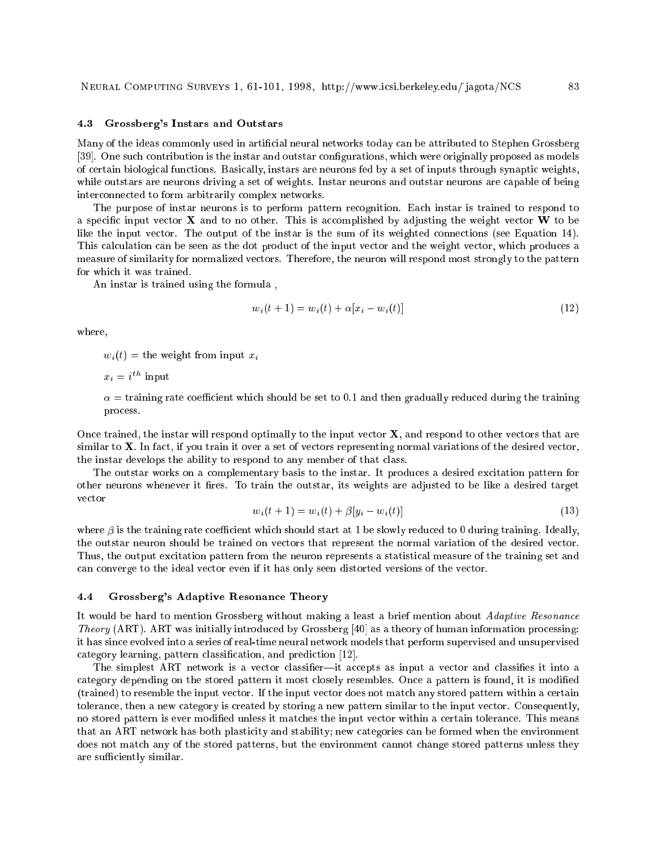#### 4.3 Grossberg's Instars and Outstars

Many of the ideas commonly used in articial neural networks today can be attributed to Stephen Grossberg [39]. One such contribution is the instar and outstar configurations, which were originally proposed as models of certain biological functions. Basically, instars are neurons fed by a set of inputs through synaptic weights, while outstars are neurons driving a set of weights. Instar neurons and outstar neurons are capable of being interconnected to form arbitrarily complex networks.

The purpose of instar neurons is to perform pattern recognition. Each instar is trained to respond to a specific input vector  $X$  and to no other. This is accomplished by adjusting the weight vector  $W$  to be like the input vector. The output of the instar is the sum of its weighted connections (see Equation 14). This calculation can be seen as the dot product of the input vector and the weight vector, which produces a measure of similarity for normalized vectors. Therefore, the neuron will respond most strongly to the pattern for which it was trained.

An instar is trained using the formula ,

$$
w_i(t+1) = w_i(t) + \alpha [x_i - w_i(t)] \tag{12}
$$

where,

 $w_i(t) =$  the weight from input  $x_i$ 

 $x_i = i$  input

 $\alpha$  = training rate coefficient which should be set to 0.1 and then gradually reduced during the training process.

Once trained, the instar will respond optimally to the input vector  $X$ , and respond to other vectors that are similar to X. In fact, if you train it over a set of vectors representing normal variations of the desired vector, the instar develops the ability to respond to any member of that class.

The outstar works on a complementary basis to the instar. It produces a desired excitation pattern for other neurons whenever it fires. To train the outstar, its weights are adjusted to be like a desired target vector

$$
w_i(t+1) = w_i(t) + \beta [y_i - w_i(t)] \tag{13}
$$

where  $\beta$  is the training rate coefficient which should start at 1 be slowly reduced to 0 during training. Ideally, the outstar neuron should be trained on vectors that represent the normal variation of the desired vector. Thus, the output excitation pattern from the neuron represents a statistical measure of the training set and can converge to the ideal vector even if it has only seen distorted versions of the vector.

# 4.4 Grossberg's Adaptive Resonance Theory

It would be hard to mention Grossberg without making a least a brief mention about Adaptive Resonance Theory (ART). ART was initially introduced by Grossberg [40] as a theory of human information processing: it has since evolved into a series of real-time neural network models that perform supervised and unsupervised category learning, pattern classification, and prediction [12].

The simplest ART network is a vector classifier—it accepts as input a vector and classifies it into a category depending on the stored pattern it most closely resembles. Once a pattern is found, it is modied (trained) to resemble the input vector. If the input vector does not match any stored pattern within a certain tolerance, then a new category is created by storing a new pattern similar to the input vector. Consequently, no stored pattern is ever modified unless it matches the input vector within a certain tolerance. This means that an ART network has both plasticity and stability; new categories can be formed when the environment does not match any of the stored patterns, but the environment cannot change stored patterns unless they are sufficiently similar.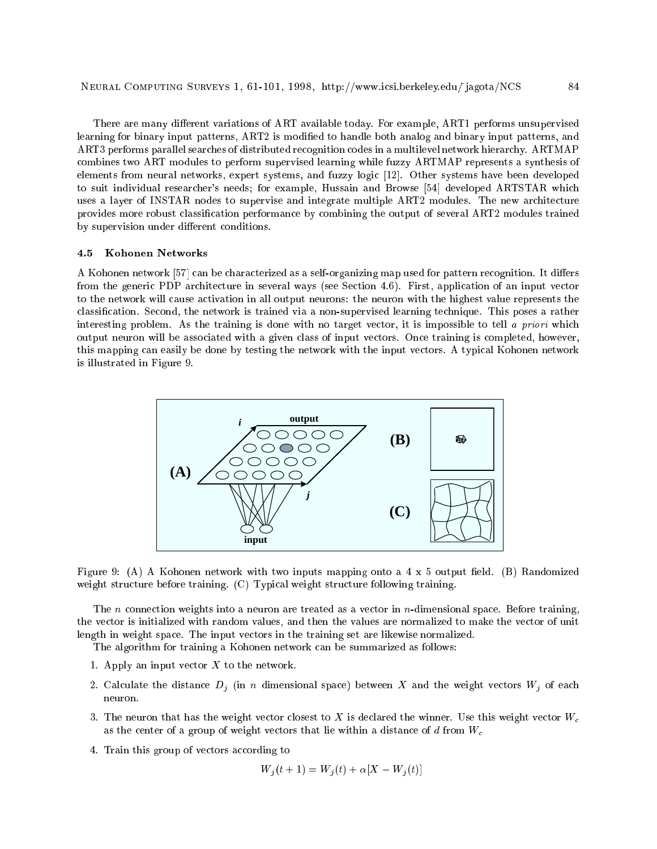There are many different variations of ART available today. For example, ART1 performs unsupervised learning for binary input patterns, ART2 is modified to handle both analog and binary input patterns, and ART3 performs parallel searches of distributed recognition codes in a multilevel network hierarchy. ARTMAP combines two ART modules to perform supervised learning while fuzzy ARTMAP represents a synthesis of elements from neural networks, expert systems, and fuzzy logic [12]. Other systems have been developed to suit individual researcher's needs; for example, Hussain and Browse [54] developed ARTSTAR which uses a layer of INSTAR nodes to supervise and integrate multiple ART2 modules. The new architecture provides more robust classication performance by combining the output of several ART2 modules trained by supervision under different conditions.

## 4.5 Kohonen Networks

A Kohonen network [57] can be characterized as a self-organizing map used for pattern recognition. It differs from the generic PDP architecture in several ways (see Section 4.6). First, application of an input vector to the network will cause activation in all output neurons: the neuron with the highest value represents the classication. Second, the network is trained via a non-supervised learning technique. This poses a rather interesting problem. As the training is done with no target vector, it is impossible to tell a priori which output neuron will be associated with a given class of input vectors. Once training is completed, however, this mapping can easily be done by testing the network with the input vectors. A typical Kohonen network is illustrated in Figure 9.



Figure 9: (A) A Kohonen network with two inputs mapping onto a  $4 \times 5$  output field. (B) Randomized weight structure before training. (C) Typical weight structure following training.

The n connection weights into a neuron are treated as a vector in  $n$ -dimensional space. Before training, the vector is initialized with random values, and then the values are normalized to make the vector of unit length in weight space. The input vectors in the training set are likewise normalized.

The algorithm for training a Kohonen network can be summarized as follows:

- 1. Apply an input vector  $X$  to the network.
- 2. Calculate the distance  $D_j$  (in n dimensional space) between X and the weight vectors  $W_j$  of each neuron.
- 3. The neuron that has the weight vector closest to X is declared the winner. Use this weight vector  $W_c$ as the center of a group of weight vectors that lie within a distance of  $d$  from  $W_c$
- 4. Train this group of vectors according to

$$
W_j(t+1) = W_j(t) + \alpha [X - W_j(t)]
$$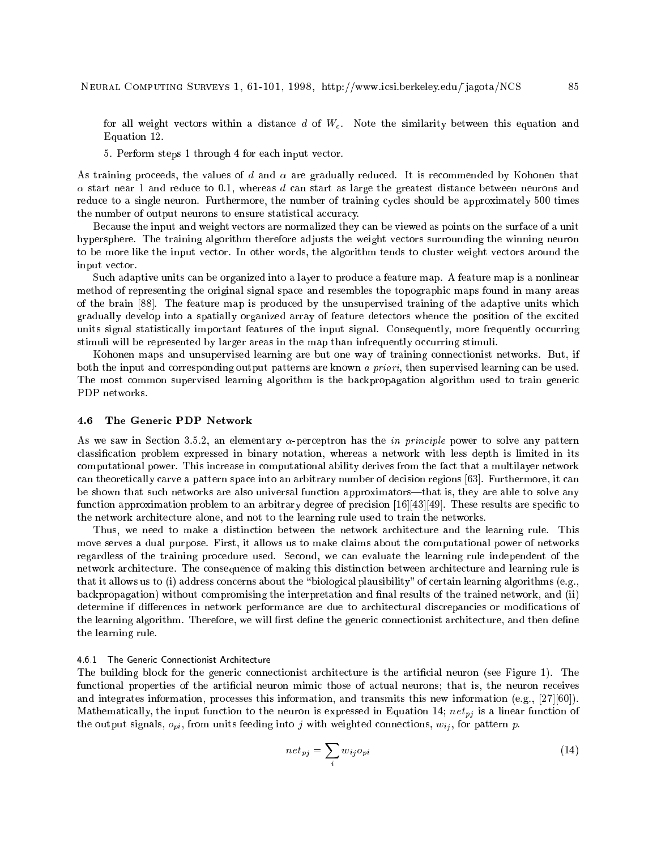for all weight vectors within a distance d of  $W_c$ . Note the similarity between this equation and Equation 12.

5. Perform steps 1 through 4 for each input vector.

As training proceeds, the values of d and  $\alpha$  are gradually reduced. It is recommended by Kohonen that  $\alpha$  start near 1 and reduce to 0.1, whereas d can start as large the greatest distance between neurons and reduce to a single neuron. Furthermore, the number of training cycles should be approximately 500 times the number of output neurons to ensure statistical accuracy.

Because the input and weight vectors are normalized they can be viewed as points on the surface of a unit hypersphere. The training algorithm therefore adjusts the weight vectors surrounding the winning neuron to be more like the input vector. In other words, the algorithm tends to cluster weight vectors around the input vector.

Such adaptive units can be organized into a layer to produce a feature map. A feature map is a nonlinear method of representing the original signal space and resembles the topographic maps found in many areas of the brain [88]. The feature map is produced by the unsupervised training of the adaptive units which gradually develop into a spatially organized array of feature detectors whence the position of the excited units signal statistically important features of the input signal. Consequently, more frequently occurring stimuli will be represented by larger areas in the map than infrequently occurring stimuli.

Kohonen maps and unsupervised learning are but one way of training connectionist networks. But, if both the input and corresponding output patterns are known a priori, then supervised learning can be used. The most common supervised learning algorithm is the backpropagation algorithm used to train generic PDP networks.

#### 4.6 The Generic PDP Network

As we saw in Section 3.5.2, an elementary  $\alpha$ -perceptron has the *in principle* power to solve any pattern classication problem expressed in binary notation, whereas a network with less depth is limited in its computational power. This increase in computational ability derives from the fact that a multilayer network can theoretically carve a pattern space into an arbitrary number of decision regions [63]. Furthermore, it can be shown that such networks are also universal function approximators—that is, they are able to solve any function approximation problem to an arbitrary degree of precision  $[16][43][49]$ . These results are specific to the network architecture alone, and not to the learning rule used to train the networks.

Thus, we need to make a distinction between the network architecture and the learning rule. This move serves a dual purpose. First, it allows us to make claims about the computational power of networks regardless of the training procedure used. Second, we can evaluate the learning rule independent of the network architecture. The consequence of making this distinction between architecture and learning rule is that it allows us to (i) address concerns about the \biological plausibility" of certain learning algorithms (e.g., backpropagation) without compromising the interpretation and final results of the trained network, and (ii) determine if differences in network performance are due to architectural discrepancies or modifications of the learning algorithm. Therefore, we will first define the generic connectionist architecture, and then define the learning rule.

## 4.6.1 The Generic Connectionist Architecture

The building block for the generic connectionist architecture is the artificial neuron (see Figure 1). The functional properties of the artificial neuron mimic those of actual neurons; that is, the neuron receives and integrates information, processes this information, and transmits this new information (e.g., [27][60]). Mathematically, the input function to the neuron is expressed in Equation 14;  $net_{pj}$  is a linear function of the output signals,  $o_{pi}$ , from units feeding into j with weighted connections,  $w_{ij}$ , for pattern p.

$$
net_{pj} = \sum_{i} w_{ij} o_{pi} \tag{14}
$$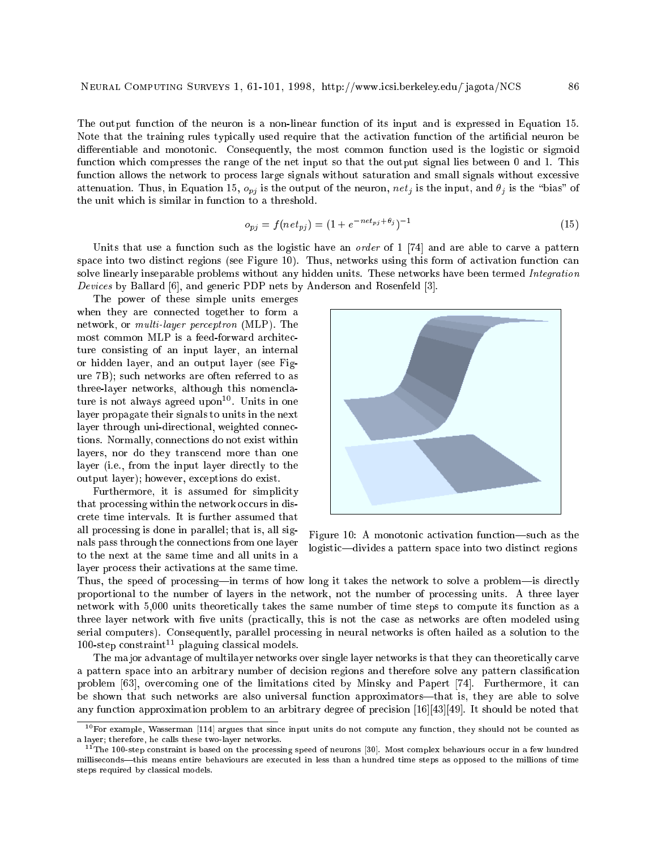The output function of the neuron is a non-linear function of its input and is expressed in Equation 15. Note that the training rules typically used require that the activation function of the articial neuron be differentiable and monotonic. Consequently, the most common function used is the logistic or sigmoid function which compresses the range of the net input so that the output signal lies between 0 and 1. This function allows the network to process large signals without saturation and small signals without excessive attenuation. Thus, in Equation 15,  $o_{pj}$  is the output of the neuron,  $net_j$  is the input, and  $\theta_j$  is the "bias" of the unit which is similar in function to a threshold.

$$
o_{pj} = f(net_{pj}) = (1 + e^{-net_{pj} + \theta_j})^{-1}
$$
\n(15)

Units that use a function such as the logistic have an *order* of 1 [74] and are able to carve a pattern space into two distinct regions (see Figure 10). Thus, networks using this form of activation function can solve linearly inseparable problems without any hidden units. These networks have been termed Integration Devices by Ballard [6], and generic PDP nets by Anderson and Rosenfeld [3].

The power of these simple units emerges when they are connected together to form a network, or multi-layer perceptron (MLP). The most common MLP is a feed-forward architecture consisting of an input layer, an internal or hidden layer, and an output layer (see Figure 7B); such networks are often referred to as three-layer networks, although this nomenclature is not always agreed upon<sup>--</sup>. Units in one layer propagate their signals to units in the next layer through uni-directional, weighted connections. Normally, connections do not exist within layers, nor do they transcend more than one layer (i.e., from the input layer directly to the output layer); however, exceptions do exist.

Furthermore, it is assumed for simplicity that processing within the network occurs in discrete time intervals. It is further assumed that all processing is done in parallel; that is, all signals pass through the connections from one layer to the next at the same time and all units in a layer process their activations at the same time.



Figure 10: A monotonic activation function—such as the logistic-divides a pattern space into two distinct regions

Thus, the speed of processing—in terms of how long it takes the network to solve a problem—is directly proportional to the number of layers in the network, not the number of processing units. A three layer network with 5,000 units theoretically takes the same number of time steps to compute its function as a three layer network with five units (practically, this is not the case as networks are often modeled using serial computers). Consequently, parallel processing in neural networks is often hailed as a solution to the 100-step constraint 11 plaguing classical models.

The ma jor advantage of multilayer networks over single layer networks is that they can theoretically carve a pattern space into an arbitrary number of decision regions and therefore solve any pattern classication problem [63], overcoming one of the limitations cited by Minsky and Papert [74]. Furthermore, it can be shown that such networks are also universal function approximators—that is, they are able to solve any function approximation problem to an arbitrary degree of precision [16][43][49]. It should be noted that

 $10$  For example, Wasserman [114] argues that since input units do not compute any function, they should not be counted as a layer; therefore, he calls these two-layer networks. a layer; therefore, he calls these two-layer networks.

<sup>&</sup>lt;sup>11</sup>The 100-step constraint is based on the processing speed of neurons [30]. Most complex behaviours occur in a few hundred milliseconds—this means entire behaviours are executed in less than a hundred time steps as opposed to the millions of time steps required by classical models.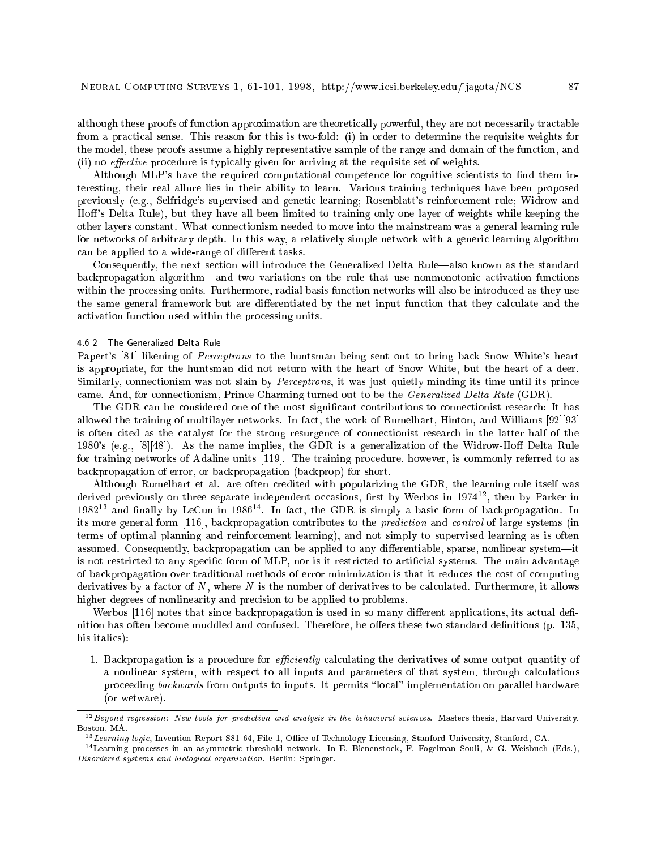although these proofs of function approximation are theoretically powerful, they are not necessarily tractable from a practical sense. This reason for this is two-fold: (i) in order to determine the requisite weights for the model, these proofs assume a highly representative sample of the range and domain of the function, and (ii) no *effective* procedure is typically given for arriving at the requisite set of weights.

Although MLP's have the required computational competence for cognitive scientists to find them interesting, their real allure lies in their ability to learn. Various training techniques have been proposed previously (e.g., Selfridge's supervised and genetic learning; Rosenblatt's reinforcement rule; Widrow and Hoff's Delta Rule), but they have all been limited to training only one layer of weights while keeping the other layers constant. What connectionism needed to move into the mainstream was a general learning rule for networks of arbitrary depth. In this way, a relatively simple network with a generic learning algorithm can be applied to a wide-range of different tasks.

Consequently, the next section will introduce the Generalized Delta Rule—also known as the standard backpropagation algorithm—and two variations on the rule that use nonmonotonic activation functions within the processing units. Furthermore, radial basis function networks will also be introduced as they use the same general framework but are differentiated by the net input function that they calculate and the activation function used within the processing units.

# 4.6.2 The Generalized Delta Rule

Papert's [81] likening of *Perceptrons* to the huntsman being sent out to bring back Snow White's heart is appropriate, for the huntsman did not return with the heart of Snow White, but the heart of a deer. Similarly, connectionism was not slain by *Perceptrons*, it was just quietly minding its time until its prince came. And, for connectionism, Prince Charming turned out to be the Generalized Delta Rule (GDR).

The GDR can be considered one of the most signicant contributions to connectionist research: It has allowed the training of multilayer networks. In fact, the work of Rumelhart, Hinton, and Williams [92][93] is often cited as the catalyst for the strong resurgence of connectionist research in the latter half of the 1980's (e.g.,  $[8][48]$ ). As the name implies, the GDR is a generalization of the Widrow-Hoff Delta Rule for training networks of Adaline units [119]. The training procedure, however, is commonly referred to as backpropagation of error, or backpropagation (backprop) for short.

Although Rumelhart et al. are often credited with popularizing the GDR, the learning rule itself was derived previously on three separate independent occasions, hist by Werbos in 1974<sup>--</sup>, then by Parker in  $1982$  and many by LeCun in 1980  $^\circ$ . In fact, the GDR is simply a basic form of backpropagation. In its more general form [116], backpropagation contributes to the prediction and control of large systems (in terms of optimal planning and reinforcement learning), and not simply to supervised learning as is often assumed. Consequently, backpropagation can be applied to any differentiable, sparse, nonlinear system—it is not restricted to any specific form of MLP, nor is it restricted to artificial systems. The main advantage of backpropagation over traditional methods of error minimization is that it reduces the cost of computing derivatives by a factor of  $N$ , where  $N$  is the number of derivatives to be calculated. Furthermore, it allows higher degrees of nonlinearity and precision to be applied to problems.

Werbos  $[116]$  notes that since backpropagation is used in so many different applications, its actual definition has often become muddled and confused. Therefore, he offers these two standard definitions (p. 135, his italics):

1. Backpropagation is a procedure for *efficiently* calculating the derivatives of some output quantity of a nonlinear system, with respect to all inputs and parameters of that system, through calculations proceeding backwards from outputs to inputs. It permits "local" implementation on parallel hardware (or wetware).

<sup>12</sup>Beyond regression: New tools for prediction and analysis in the behavioral sciences. Masters thesis, Harvard University, Boston, MA. Boston, MA.

 $\sim$  Learning logic, Invention Report S81-64, File 1, Office of Technology Licensing, Stanford University, Stanford, CA.

<sup>14</sup>Learning processes in an asymmetric threshold network. In E. Bienenstock, F. Fogelman Souli, & G. Weisbuch (Eds.), Disordered systems and biological organization. Berlin: Springer.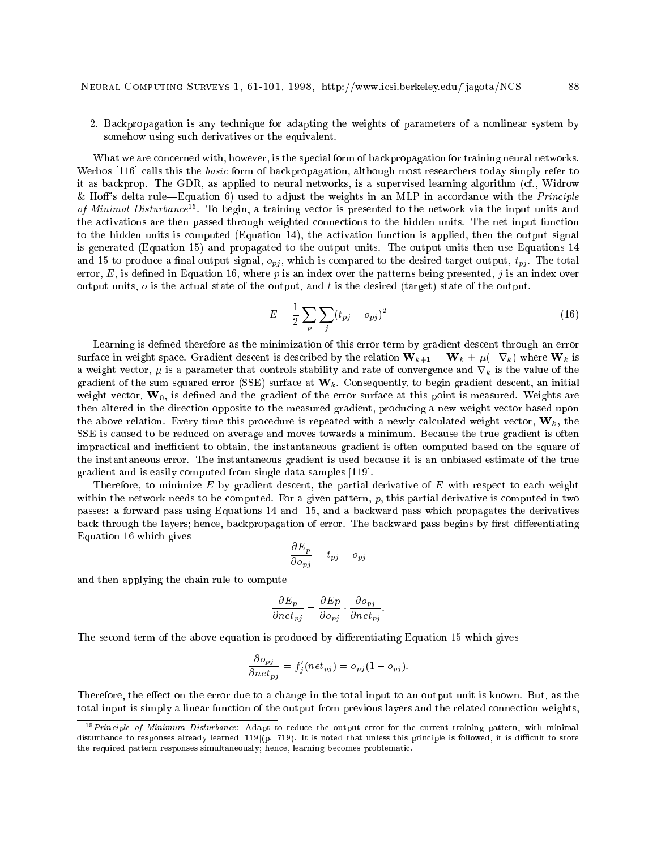2. Backpropagation is any technique for adapting the weights of parameters of a nonlinear system by somehow using such derivatives or the equivalent.

What we are concerned with, however, is the special form of backpropagation for training neural networks. Werbos [116] calls this the basic form of backpropagation, although most researchers today simply refer to it as backprop. The GDR, as applied to neural networks, is a supervised learning algorithm (cf., Widrow & Hoff's delta rule—Equation 6) used to adjust the weights in an MLP in accordance with the *Principle* of *minimal Distarbance* to begin, a training vector is presented to the network via the input units and the activations are then passed through weighted connections to the hidden units. The net input function to the hidden units is computed (Equation 14), the activation function is applied, then the output signal is generated (Equation 15) and propagated to the output units. The output units then use Equations 14 and 15 to produce a final output signal,  $o_{pi}$ , which is compared to the desired target output,  $t_{pi}$ . The total error,  $E$ , is defined in Equation 16, where p is an index over the patterns being presented, j is an index over output units,  $o$  is the actual state of the output, and t is the desired (target) state of the output.

$$
E = \frac{1}{2} \sum_{p} \sum_{j} (t_{pj} - o_{pj})^2
$$
\n(16)

Learning is defined therefore as the minimization of this error term by gradient descent through an error surface in weight space. Gradient descent is described by the relation  $\mathbf{W}_{k+1} = \mathbf{W}_k + \mu(-\nabla_k)$  where  $\mathbf{W}_k$  is a weight vector,  $\mu$  is a parameter that controls stability and rate of convergence and  $\nabla_k$  is the value of the gradient of the sum squared error (SSE) surface at  $W_k$ . Consequently, to begin gradient descent, an initial weight vector,  $W_0$ , is defined and the gradient of the error surface at this point is measured. Weights are then altered in the direction opposite to the measured gradient, producing a new weight vector based upon the above relation. Every time this procedure is repeated with a newly calculated weight vector,  $W_k$ , the SSE is caused to be reduced on average and moves towards a minimum. Because the true gradient is often impractical and inefficient to obtain, the instantaneous gradient is often computed based on the square of the instantaneous error. The instantaneous gradient is used because it is an unbiased estimate of the true gradient and is easily computed from single data samples [119].

Therefore, to minimize  $E$  by gradient descent, the partial derivative of  $E$  with respect to each weight within the network needs to be computed. For a given pattern,  $p$ , this partial derivative is computed in two passes: a forward pass using Equations 14 and 15, and a backward pass which propagates the derivatives back through the layers; hence, backpropagation of error. The backward pass begins by first differentiating Equation 16 which gives

$$
\frac{\partial E_p}{\partial o_{pj}} = t_{pj} - o_{pj}
$$

and then applying the chain rule to compute

$$
\frac{\partial E_p}{\partial net_{pj}} = \frac{\partial Ep}{\partial o_{pj}} \cdot \frac{\partial o_{pj}}{\partial net_{pj}}.
$$

The second term of the above equation is produced by differentiating Equation 15 which gives

$$
\frac{\partial o_{pj}}{\partial net_{pj}} = f'_j(net_{pj}) = o_{pj}(1 - o_{pj}).
$$

Therefore, the effect on the error due to a change in the total input to an output unit is known. But, as the total input is simply a linear function of the output from previous layers and the related connection weights,

<sup>15</sup>Principle of Minimum Disturbance: Adapt to reduce the output error for the current training pattern, with minimal disturbance to responses already learned  $[119](p. 719)$ . It is noted that unless this principle is followed, it is difficult to store the required pattern responses simultaneously; hence, learning becomes problematic.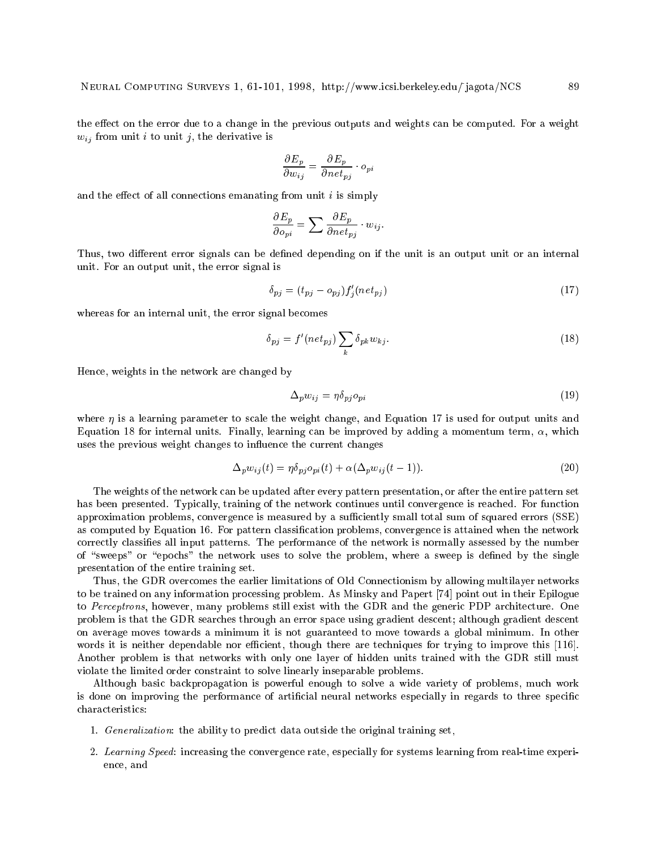the effect on the error due to a change in the previous outputs and weights can be computed. For a weight  $w_{ij}$  from unit i to unit j, the derivative is

$$
\frac{\partial E_p}{\partial w_{ij}} = \frac{\partial E_p}{\partial net_{pj}} \cdot o_{pi}
$$

and the effect of all connections emanating from unit  $i$  is simply

$$
\frac{\partial E_p}{\partial o_{pi}} = \sum \frac{\partial E_p}{\partial net_{pj}} \cdot w_{ij}.
$$

Thus, two different error signals can be defined depending on if the unit is an output unit or an internal unit. For an output unit, the error signal is

$$
\delta_{pj} = (t_{pj} - o_{pj}) f_j'(net_{pj}) \tag{17}
$$

whereas for an internal unit, the error signal becomes

$$
\delta_{pj} = f'(net_{pj}) \sum_{k} \delta_{pk} w_{kj}.
$$
\n(18)

Hence, weights in the network are changed by

$$
\Delta_p w_{ij} = \eta \delta_{pj} o_{pi} \tag{19}
$$

where  $\eta$  is a learning parameter to scale the weight change, and Equation 17 is used for output units and Equation 18 for internal units. Finally, learning can be improved by adding a momentum term,  $\alpha$ , which uses the previous weight changes to in
uence the current changes

$$
\Delta_p w_{ij}(t) = \eta \delta_{pj} o_{pi}(t) + \alpha (\Delta_p w_{ij}(t-1)).
$$
\n(20)

The weights of the network can be updated after every pattern presentation, or after the entire pattern set has been presented. Typically, training of the network continues until convergence is reached. For function approximation problems, convergence is measured by a sufficiently small total sum of squared errors (SSE) as computed by Equation 16. For pattern classification problems, convergence is attained when the network correctly classies all input patterns. The performance of the network is normally assessed by the number of "sweeps" or "epochs" the network uses to solve the problem, where a sweep is defined by the single presentation of the entire training set.

Thus, the GDR overcomes the earlier limitations of Old Connectionism by allowing multilayer networks to be trained on any information processing problem. As Minsky and Papert [74] point out in their Epilogue to Perceptrons, however, many problems still exist with the GDR and the generic PDP architecture. One problem is that the GDR searches through an error space using gradient descent; although gradient descent on average moves towards a minimum it is not guaranteed to move towards a global minimum. In other words it is neither dependable nor efficient, though there are techniques for trying to improve this [116]. Another problem is that networks with only one layer of hidden units trained with the GDR still must violate the limited order constraint to solve linearly inseparable problems.

Although basic backpropagation is powerful enough to solve a wide variety of problems, much work is done on improving the performance of artificial neural networks especially in regards to three specific characteristics:

- 1. Generalization: the ability to predict data outside the original training set,
- 2. Learning Speed: increasing the convergence rate, especially for systems learning from real-time experience, and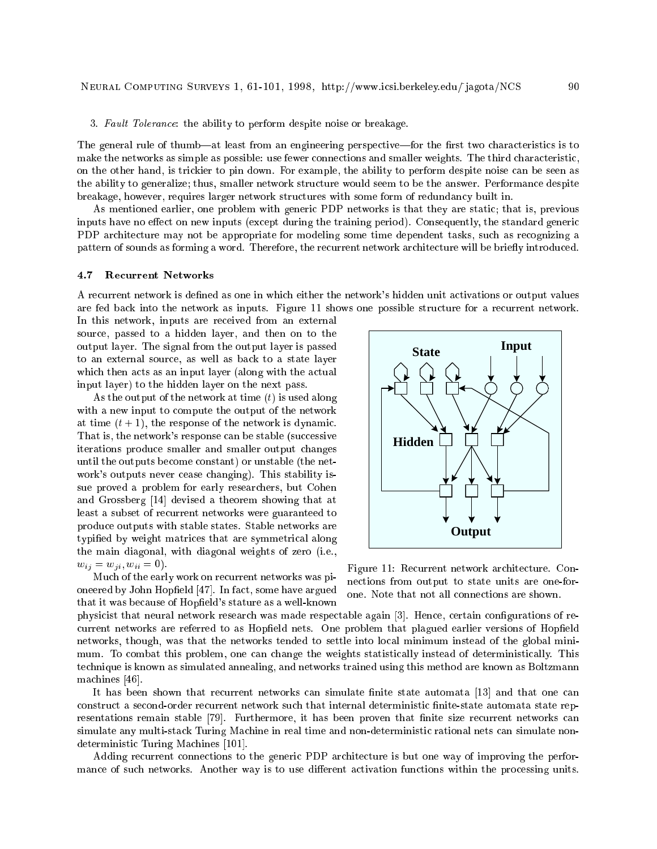3. Fault Tolerance: the ability to perform despite noise or breakage.

The general rule of thumb—at least from an engineering perspective—for the first two characteristics is to make the networks as simple as possible: use fewer connections and smaller weights. The third characteristic, on the other hand, is trickier to pin down. For example, the ability to perform despite noise can be seen as the ability to generalize; thus, smaller network structure would seem to be the answer. Performance despite breakage, however, requires larger network structures with some form of redundancy built in.

As mentioned earlier, one problem with generic PDP networks is that they are static; that is, previous inputs have no effect on new inputs (except during the training period). Consequently, the standard generic PDP architecture may not be appropriate for modeling some time dependent tasks, such as recognizing a pattern of sounds as forming a word. Therefore, the recurrent network architecture will be briefly introduced.

A recurrent network is dened as one in which either the network's hidden unit activations or output values are fed back into the network as inputs. Figure 11 shows one possible structure for a recurrent network.

In this network, inputs are received from an external source, passed to a hidden layer, and then on to the output layer. The signal from the output layer is passed to an external source, as well as back to a state layer which then acts as an input layer (along with the actual input layer) to the hidden layer on the next pass.

As the output of the network at time  $(t)$  is used along with a new input to compute the output of the network at time  $(t + 1)$ , the response of the network is dynamic. That is, the network's response can be stable (successive iterations produce smaller and smaller output changes until the outputs become constant) or unstable (the network's outputs never cease changing). This stability issue proved a problem for early researchers, but Cohen and Grossberg [14] devised a theorem showing that at least a subset of recurrent networks were guaranteed to produce outputs with stable states. Stable networks are typied by weight matrices that are symmetrical along the main diagonal, with diagonal weights of zero (i.e.,  $w_{ij} = w_{ji}, w_{ii} = 0$ .

Much of the early work on recurrent networks was pioneered by John Hopfield [47]. In fact, some have argued that it was because of Hopfield's stature as a well-known



Figure 11: Recurrent network architecture. Connections from output to state units are one-forone. Note that not all connections are shown.

physicist that neural network research was made respectable again [3]. Hence, certain configurations of recurrent networks are referred to as Hopfield nets. One problem that plagued earlier versions of Hopfield networks, though, was that the networks tended to settle into local minimum instead of the global minimum. To combat this problem, one can change the weights statistically instead of deterministically. This technique is known as simulated annealing, and networks trained using this method are known as Boltzmann machines [46].

It has been shown that recurrent networks can simulate finite state automata [13] and that one can construct a second-order recurrent network such that internal deterministic finite-state automata state representations remain stable [79]. Furthermore, it has been proven that finite size recurrent networks can simulate any multi-stack Turing Machine in real time and non-deterministic rational nets can simulate nondeterministic Turing Machines [101].

Adding recurrent connections to the generic PDP architecture is but one way of improving the performance of such networks. Another way is to use different activation functions within the processing units.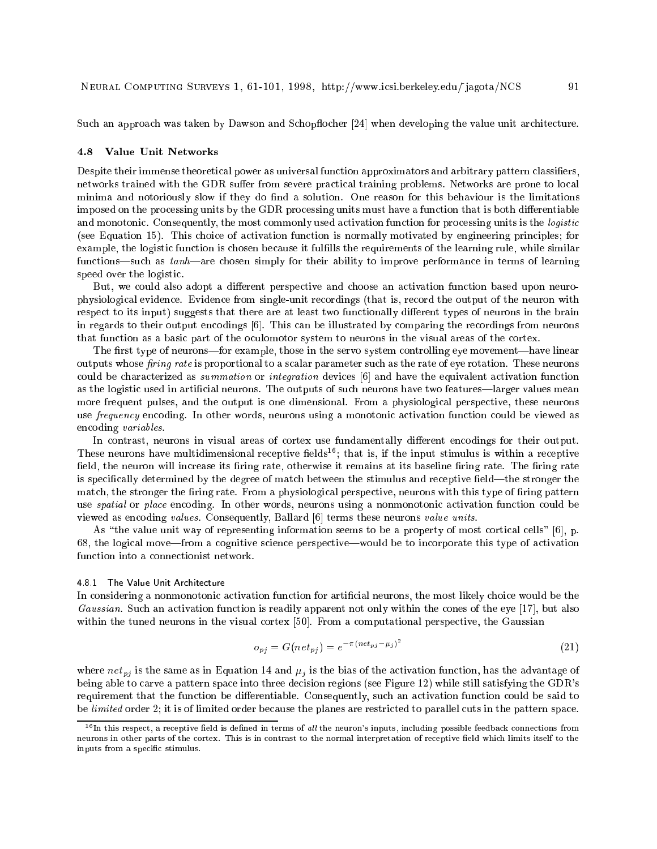Such an approach was taken by Dawson and Schopflocher [24] when developing the value unit architecture.

#### 4.8 Value Unit Networks

Despite their immense theoretical power as universal function approximators and arbitrary pattern classiers, networks trained with the GDR suffer from severe practical training problems. Networks are prone to local minima and notoriously slow if they do find a solution. One reason for this behaviour is the limitations imposed on the processing units by the GDR processing units must have a function that is both differentiable and monotonic. Consequently, the most commonly used activation function for processing units is the logistic (see Equation 15). This choice of activation function is normally motivated by engineering principles; for example, the logistic function is chosen because it fullls the requirements of the learning rule, while similar functions—such as  $tanh$ —are chosen simply for their ability to improve performance in terms of learning speed over the logistic.

But, we could also adopt a different perspective and choose an activation function based upon neurophysiological evidence. Evidence from single-unit recordings (that is, record the output of the neuron with respect to its input) suggests that there are at least two functionally different types of neurons in the brain in regards to their output encodings [6]. This can be illustrated by comparing the recordings from neurons that function as a basic part of the oculomotor system to neurons in the visual areas of the cortex.

The first type of neurons—for example, those in the servo system controlling eye movement—have linear outputs whose *firing rate* is proportional to a scalar parameter such as the rate of eye rotation. These neurons could be characterized as summation or integration devices [6] and have the equivalent activation function as the logistic used in artificial neurons. The outputs of such neurons have two features—larger values mean more frequent pulses, and the output is one dimensional. From a physiological perspective, these neurons use *frequency* encoding. In other words, neurons using a monotonic activation function could be viewed as encoding variables.

In contrast, neurons in visual areas of cortex use fundamentally different encodings for their output. These neurons have multidimensional receptive fields<sup>16</sup>; that is, if the input stimulus is within a receptive field, the neuron will increase its firing rate, otherwise it remains at its baseline firing rate. The firing rate is specifically determined by the degree of match between the stimulus and receptive field—the stronger the match, the stronger the firing rate. From a physiological perspective, neurons with this type of firing pattern use spatial or place encoding. In other words, neurons using a nonmonotonic activation function could be viewed as encoding values. Consequently, Ballard [6] terms these neurons value units.

As "the value unit way of representing information seems to be a property of most cortical cells"  $[6]$ , p. 68, the logical move—from a cognitive science perspective—would be to incorporate this type of activation function into a connectionist network.

#### 4.8.1 The Value Unit Architecture

In considering a nonmonotonic activation function for articial neurons, the most likely choice would be the Gaussian. Such an activation function is readily apparent not only within the cones of the eye [17], but also within the tuned neurons in the visual cortex [50]. From a computational perspective, the Gaussian

$$
o_{pj} = G(net_{pj}) = e^{-\pi(net_{pj} - \mu_j)^2}
$$
\n(21)

where  $net_{pj}$  is the same as in Equation 14 and  $\mu_j$  is the bias of the activation function, has the advantage of being able to carve a pattern space into three decision regions (see Figure 12) while still satisfying the GDR's requirement that the function be differentiable. Consequently, such an activation function could be said to be limited order 2; it is of limited order because the planes are restricted to parallel cuts in the pattern space.

 $^{16}$ In this respect, a receptive field is defined in terms of all the neuron's inputs, including possible feedback connections from neurons in other parts of the cortex. This is in contrast to the normal interpretation of receptive field which limits itself to the inputs from a specic stimulus.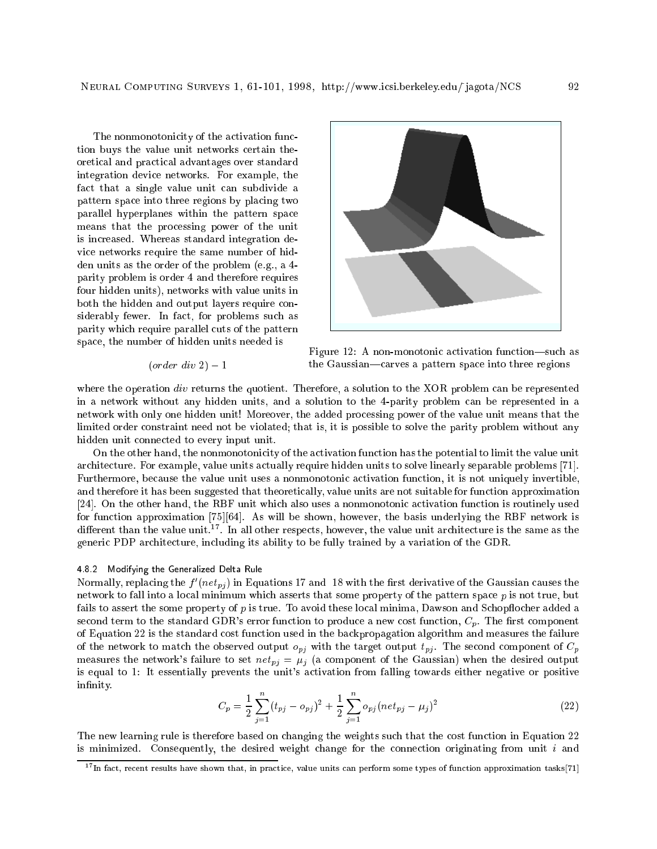The nonmonotonicity of the activation function buys the value unit networks certain theoretical and practical advantages over standard integration device networks. For example, the fact that a single value unit can subdivide a pattern space into three regions by placing two parallel hyperplanes within the pattern space means that the processing power of the unit is increased. Whereas standard integration device networks require the same number of hidden units as the order of the problem (e.g., a 4 parity problem is order 4 and therefore requires four hidden units), networks with value units in both the hidden and output layers require considerably fewer. In fact, for problems such as parity which require parallel cuts of the pattern space, the number of hidden units needed is

 $(order\ div\ 2) - 1$ 

$$
\left\lfloor \frac{1}{\sqrt{2}}\right\rfloor
$$

Figure 12: A non-monotonic activation function—such as the Gaussian—carves a pattern space into three regions

where the operation div returns the quotient. Therefore, a solution to the XOR problem can be represented in a network without any hidden units, and a solution to the 4-parity problem can be represented in a network with only one hidden unit! Moreover, the added processing power of the value unit means that the limited order constraint need not be violated; that is, it is possible to solve the parity problem without any hidden unit connected to every input unit.

On the other hand, the nonmonotonicity of the activation function has the potential to limit the value unit architecture. For example, value units actually require hidden units to solve linearly separable problems [71]. Furthermore, because the value unit uses a nonmonotonic activation function, it is not uniquely invertible, and therefore it has been suggested that theoretically, value units are not suitable for function approximation [24]. On the other hand, the RBF unit which also uses a nonmonotonic activation function is routinely used for function approximation [75][64]. As will be shown, however, the basis underlying the RBF network is different than the value unit.17. In all other respects, however, the value unit architecture is the same as the generic PDP architecture, including its ability to be fully trained by a variation of the GDR.

#### 4.8.2 Modifying the Generalized Delta Rule

Normally, replacing the  $f$  ( $neu$ ) in Equations 17 and 18 with the first derivative of the Gaussian causes the network to fall into a local minimum which asserts that some property of the pattern space  $p$  is not true, but fails to assert the some property of p is true. To avoid these local minima, Dawson and Schopflocher added a second term to the standard GDR's error function to produce a new cost function,  $C_p$ . The first component of Equation 22 is the standard cost function used in the backpropagation algorithm and measures the failure of the network to match the observed output  $o_{pj}$  with the target output  $t_{pj}$ . The second component of  $C_p$ measures the network's failure to set  $net_{pj} = \mu_j$  (a component of the Gaussian) when the desired output is equal to 1: It essentially prevents the unit's activation from falling towards either negative or positive infinity.

$$
C_p = \frac{1}{2} \sum_{j=1}^{n} (t_{pj} - o_{pj})^2 + \frac{1}{2} \sum_{j=1}^{n} o_{pj} (net_{pj} - \mu_j)^2
$$
 (22)

The new learning rule is therefore based on changing the weights such that the cost function in Equation 22 is minimized. Consequently, the desired weight change for the connection originating from unit  $i$  and

<sup>17</sup> In fact, recent results have shown that, in practice, value units can perform some types of function approximation tasks[71]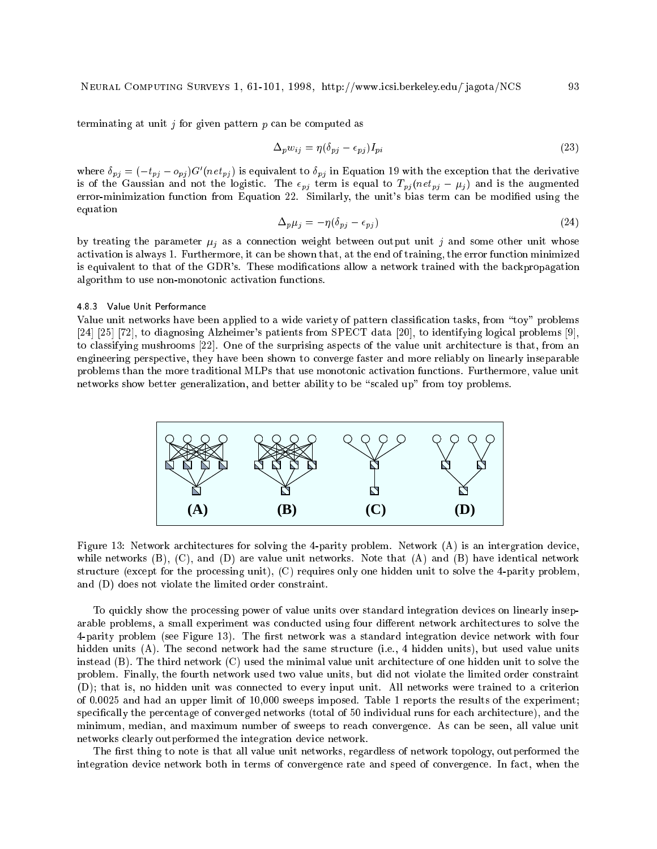terminating at unit  $j$  for given pattern  $p$  can be computed as

$$
\Delta_p w_{ij} = \eta (\delta_{pj} - \epsilon_{pj}) I_{pi} \tag{23}
$$

where  $\delta_{pj} = (-t_{pj} - \theta_{pj})$ G $(n e t_{pj})$  is equivalent to  $\delta_{pj}$  in Equation 19 with the exception that the derivative is of the Gaussian and not the logistic. The  $\epsilon_{pj}$  term is equal to  $T_{pj} (net_{pj} - \mu_j)$  and is the augmented error-minimization function from Equation 22. Similarly, the unit's bias term can be modied using the equation

$$
\Delta_p \mu_j = -\eta (\delta_{pj} - \epsilon_{pj}) \tag{24}
$$

by treating the parameter  $\mu_j$  as a connection weight between output unit j and some other unit whose activation is always 1. Furthermore, it can be shown that, at the end of training, the error function minimized is equivalent to that of the GDR's. These modications allow a network trained with the backpropagation algorithm to use non-monotonic activation functions.

# 4.8.3 Value Unit Performance

Value unit networks have been applied to a wide variety of pattern classification tasks, from "toy" problems [24] [25] [72], to diagnosing Alzheimer's patients from SPECT data [20], to identifying logical problems [9], to classifying mushrooms [22]. One of the surprising aspects of the value unit architecture is that, from an engineering perspective, they have been shown to converge faster and more reliably on linearly inseparable problems than the more traditional MLPs that use monotonic activation functions. Furthermore, value unit networks show better generalization, and better ability to be "scaled up" from toy problems.



Figure 13: Network architectures for solving the 4-parity problem. Network (A) is an intergration device, while networks (B), (C), and (D) are value unit networks. Note that (A) and (B) have identical network structure (except for the processing unit), (C) requires only one hidden unit to solve the 4-parity problem, and (D) does not violate the limited order constraint.

To quickly show the processing power of value units over standard integration devices on linearly inseparable problems, a small experiment was conducted using four different network architectures to solve the 4-parity problem (see Figure 13). The first network was a standard integration device network with four hidden units (A). The second network had the same structure (i.e., 4 hidden units), but used value units instead (B). The third network (C) used the minimal value unit architecture of one hidden unit to solve the problem. Finally, the fourth network used two value units, but did not violate the limited order constraint (D); that is, no hidden unit was connected to every input unit. All networks were trained to a criterion of 0.0025 and had an upper limit of 10,000 sweeps imposed. Table 1 reports the results of the experiment; specically the percentage of converged networks (total of 50 individual runs for each architecture), and the minimum, median, and maximum number of sweeps to reach convergence. As can be seen, all value unit networks clearly outperformed the integration device network.

The first thing to note is that all value unit networks, regardless of network topology, outperformed the integration device network both in terms of convergence rate and speed of convergence. In fact, when the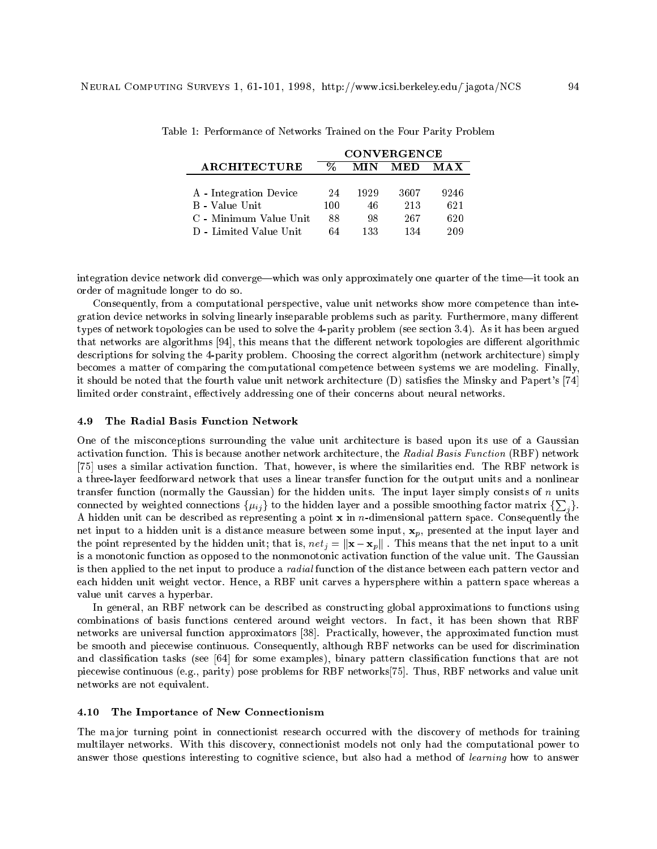|                        | <b>CONVERGENCE</b> |      |      |      |
|------------------------|--------------------|------|------|------|
| ARCHITECTURE           |                    | MIN  | MED  | MAX  |
|                        |                    |      |      |      |
| A - Integration Device | 24                 | 1929 | 3607 | 9246 |
| B - Value Unit         | 100                | 46   | 213  | 621  |
| C - Minimum Value Unit | 88                 | 98   | 267  | 620  |
| D - Limited Value Unit | 64                 | 133  | 134  | 209  |

Table 1: Performance of Networks Trained on the Four Parity Problem

integration device network did converge—which was only approximately one quarter of the time—it took an order of magnitude longer to do so.

Consequently, from a computational perspective, value unit networks show more competence than integration device networks in solving linearly inseparable problems such as parity. Furthermore, many different types of network topologies can be used to solve the 4-parity problem (see section 3.4). As it has been argued that networks are algorithms [94], this means that the different network topologies are different algorithmic descriptions for solving the 4-parity problem. Choosing the correct algorithm (network architecture) simply becomes a matter of comparing the computational competence between systems we are modeling. Finally, it should be noted that the fourth value unit network architecture (D) satisfies the Minsky and Papert's [74] limited order constraint, effectively addressing one of their concerns about neural networks.

#### 4.9 The Radial Basis Function Network

One of the misconceptions surrounding the value unit architecture is based upon its use of a Gaussian activation function. This is because another network architecture, the Radial Basis Function (RBF) network [75] uses a similar activation function. That, however, is where the similarities end. The RBF network is a three-layer feedforward network that uses a linear transfer function for the output units and a nonlinear transfer function (normally the Gaussian) for the hidden units. The input layer simply consists of  $n$  units connected by weighted connections  $\{\mu_{ij}\}$  to the hidden layer and a possible smoothing factor matrix  $\{\sum_i\}.$ A hidden unit can be described as representing a point  $x$  in *n*-dimensional pattern space. Consequently the net input to a hidden unit is a distance measure between some input,  $\mathbf{x}_p$ , presented at the input layer and the point represented by the hidden unit; that is,  $net_j = ||\mathbf{x} - \mathbf{x}_p||$ . This means that the net input to a unit is a monotonic function as opposed to the nonmonotonic activation function of the value unit. The Gaussian is then applied to the net input to produce a radial function of the distance between each pattern vector and each hidden unit weight vector. Hence, a RBF unit carves a hypersphere within a pattern space whereas a value unit carves a hyperbar.

In general, an RBF network can be described as constructing global approximations to functions using combinations of basis functions centered around weight vectors. In fact, it has been shown that RBF networks are universal function approximators [38]. Practically, however, the approximated function must be smooth and piecewise continuous. Consequently, although RBF networks can be used for discrimination and classication tasks (see [64] for some examples), binary pattern classication functions that are not piecewise continuous (e.g., parity) pose problems for RBF networks[75]. Thus, RBF networks and value unit networks are not equivalent.

## 4.10 The Importance of New Connectionism

The major turning point in connectionist research occurred with the discovery of methods for training multilayer networks. With this discovery, connectionist models not only had the computational power to answer those questions interesting to cognitive science, but also had a method of learning how to answer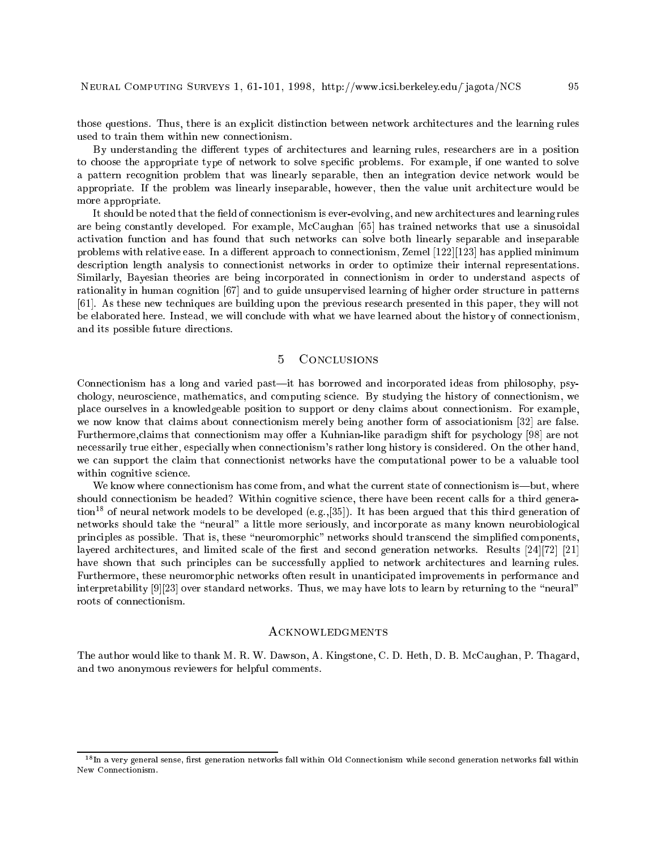those questions. Thus, there is an explicit distinction between network architectures and the learning rules used to train them within new connectionism.

By understanding the different types of architectures and learning rules, researchers are in a position to choose the appropriate type of network to solve specific problems. For example, if one wanted to solve a pattern recognition problem that was linearly separable, then an integration device network would be appropriate. If the problem was linearly inseparable, however, then the value unit architecture would be more appropriate.

It should be noted that the field of connectionism is ever-evolving, and new architectures and learning rules are being constantly developed. For example, McCaughan [65] has trained networks that use a sinusoidal activation function and has found that such networks can solve both linearly separable and inseparable problems with relative ease. In a different approach to connectionism, Zemel  $[122][123]$  has applied minimum description length analysis to connectionist networks in order to optimize their internal representations. Similarly, Bayesian theories are being incorporated in connectionism in order to understand aspects of rationality in human cognition [67] and to guide unsupervised learning of higher order structure in patterns [61]. As these new techniques are building upon the previous research presented in this paper, they will not be elaborated here. Instead, we will conclude with what we have learned about the history of connectionism, and its possible future directions.

#### $\overline{5}$ CONCLUSIONS

Connectionism has a long and varied past—it has borrowed and incorporated ideas from philosophy, psychology, neuroscience, mathematics, and computing science. By studying the history of connectionism, we place ourselves in a knowledgeable position to support or deny claims about connectionism. For example, we now know that claims about connectionism merely being another form of associationism [32] are false. Furthermore, claims that connectionism may offer a Kuhnian-like paradigm shift for psychology [98] are not necessarily true either, especially when connectionism's rather long history is considered. On the other hand, we can support the claim that connectionist networks have the computational power to be a valuable tool within cognitive science.

We know where connectionism has come from, and what the current state of connectionism is—but, where should connectionism be headed? Within cognitive science, there have been recent calls for a third generation<sup>18</sup> of neural network models to be developed (e.g.,[35]). It has been argued that this third generation of networks should take the "neural" a little more seriously, and incorporate as many known neurobiological principles as possible. That is, these "neuromorphic" networks should transcend the simplified components, layered architectures, and limited scale of the first and second generation networks. Results  $[24][72]$  [21] have shown that such principles can be successfully applied to network architectures and learning rules. Furthermore, these neuromorphic networks often result in unanticipated improvements in performance and interpretability  $[9][23]$  over standard networks. Thus, we may have lots to learn by returning to the "neural" roots of connectionism.

# **ACKNOWLEDGMENTS**

The author would like to thank M. R. W. Dawson, A. Kingstone, C. D. Heth, D. B. McCaughan, P. Thagard, and two anonymous reviewers for helpful comments.

<sup>18</sup> In a very general sense, rst generation networks fall within Old Connectionism while second generation networks fall within New Connectionism.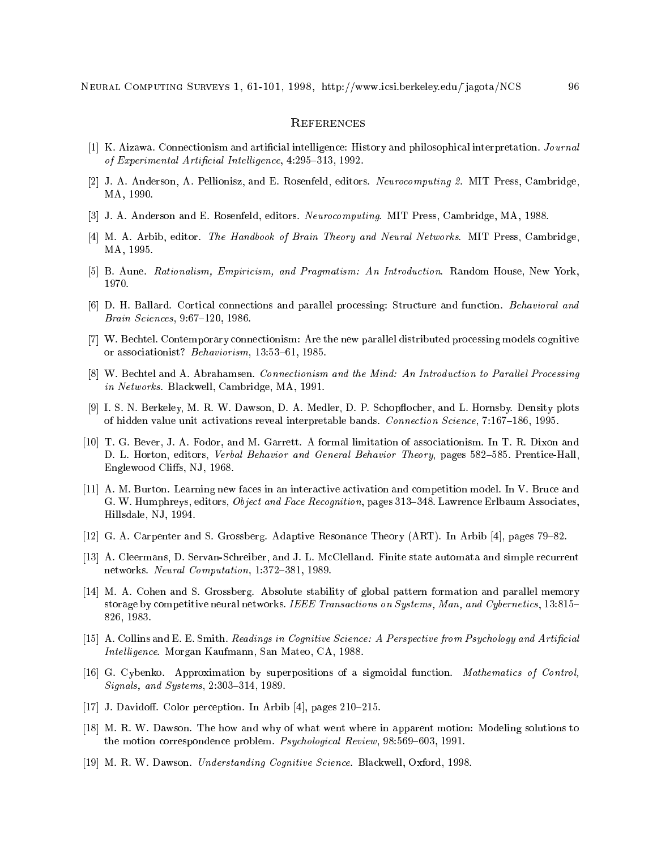# **REFERENCES**

- [1] K. Aizawa. Connectionism and articial intelligence: History and philosophical interpretation. Journal of Experimental Artificial Intelligence,  $4:295-313$ , 1992.
- [2] J. A. Anderson, A. Pellionisz, and E. Rosenfeld, editors. Neurocomputing 2. MIT Press, Cambridge, MA, 1990.
- [3] J. A. Anderson and E. Rosenfeld, editors. *Neurocomputing*. MIT Press, Cambridge, MA, 1988.
- [4] M. A. Arbib, editor. The Handbook of Brain Theory and Neural Networks. MIT Press, Cambridge, MA, 1995.
- [5] B. Aune. Rationalism, Empiricism, and Pragmatism: An Introduction. Random House, New York, 1970.
- [6] D. H. Ballard. Cortical connections and parallel processing: Structure and function. Behavioral and Brain Sciences, 9:67-120, 1986.
- [7] W. Bechtel. Contemporary connectionism: Are the new parallel distributed processing models cognitive or associationist? Behaviorism, 13:53-61, 1985.
- [8] W. Bechtel and A. Abrahamsen. Connectionism and the Mind: An Introduction to Parallel Processing in Networks. Blackwell, Cambridge, MA, 1991.
- [9] I. S. N. Berkeley, M. R. W. Dawson, D. A. Medler, D. P. Schopflocher, and L. Hornsby. Density plots of hidden value unit activations reveal interpretable bands. Connection Science,  $7:167{-}186, 1995$ .
- [10] T. G. Bever, J. A. Fodor, and M. Garrett. A formal limitation of associationism. In T. R. Dixon and D. L. Horton, editors, Verbal Behavior and General Behavior Theory, pages 582–585. Prentice-Hall, Englewood Cliffs, NJ, 1968.
- [11] A. M. Burton. Learning new faces in an interactive activation and competition model. In V. Bruce and G. W. Humphreys, editors, *Object and Face Recognition*, pages 313-348. Lawrence Erlbaum Associates, Hillsdale, NJ, 1994.
- [12] G. A. Carpenter and S. Grossberg. Adaptive Resonance Theory (ART). In Arbib [4], pages 79–82.
- [13] A. Cleermans, D. Servan-Schreiber, and J. L. McClelland. Finite state automata and simple recurrent networks. Neural Computation, 1:372-381, 1989.
- [14] M. A. Cohen and S. Grossberg. Absolute stability of global pattern formation and parallel memory storage by competitive neural networks. IEEE Transactions on Systems, Man, and Cybernetics, 13:815– 826, 1983.
- [15] A. Collins and E. E. Smith. Readings in Cognitive Science: A Perspective from Psychology and Artificial Intelligence. Morgan Kaufmann, San Mateo, CA, 1988.
- [16] G. Cybenko. Approximation by superpositions of a sigmoidal function. Mathematics of Control,  $Signals, and Systems, 2:303–314, 1989.$
- [17] J. Davidoff. Color perception. In Arbib [4], pages  $210-215$ .
- [18] M. R. W. Dawson. The how and why of what went where in apparent motion: Modeling solutions to the motion correspondence problem. *Psychological Review*,  $98:569{-}603$ , 1991.
- [19] M. R. W. Dawson. Understanding Cognitive Science. Blackwell, Oxford, 1998.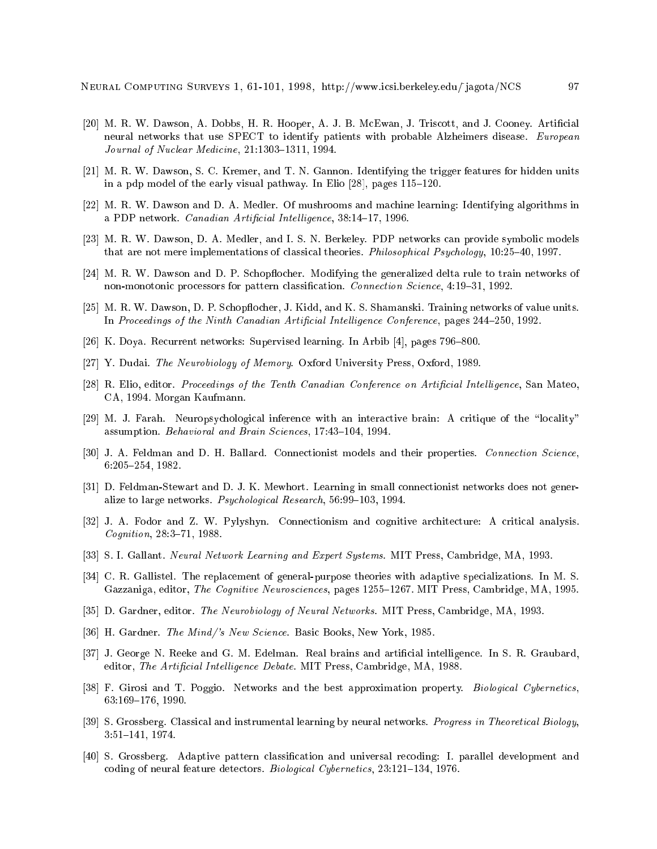- [20] M. R. W. Dawson, A. Dobbs, H. R. Hooper, A. J. B. McEwan, J. Triscott, and J. Cooney. Artificial neural networks that use SPECT to identify patients with probable Alzheimers disease. European Journal of Nuclear Medicine,  $21:1303-1311$ , 1994.
- [21] M. R. W. Dawson, S. C. Kremer, and T. N. Gannon. Identifying the trigger features for hidden units in a pdp model of the early visual pathway. In Elio  $[28]$ , pages  $115{-}120$ .
- [22] M. R. W. Dawson and D. A. Medler. Of mushrooms and machine learning: Identifying algorithms in a PDP network. Canadian Artificial Intelligence, 38:14-17, 1996.
- [23] M. R. W. Dawson, D. A. Medler, and I. S. N. Berkeley. PDP networks can provide symbolic models that are not mere implementations of classical theories. *Philosophical Psychology*, 10:25-40, 1997.
- [24] M. R. W. Dawson and D. P. Schopflocher. Modifying the generalized delta rule to train networks of non-monotonic processors for pattern classification. Connection Science,  $4:19-31$ , 1992.
- [25] M. R. W. Dawson, D. P. Schopflocher, J. Kidd, and K. S. Shamanski. Training networks of value units. In Proceedings of the Ninth Canadian Artificial Intelligence Conference, pages 244–250, 1992.
- [26] K. Doya. Recurrent networks: Supervised learning. In Arbib  $[4]$ , pages 796–800.
- [27] Y. Dudai. The Neurobiology of Memory. Oxford University Press, Oxford, 1989.
- [28] R. Elio, editor. Proceedings of the Tenth Canadian Conference on Artificial Intelligence, San Mateo, CA, 1994. Morgan Kaufmann.
- [29] M. J. Farah. Neuropsychological inference with an interactive brain: A critique of the "locality" assumption. Behavioral and Brain Sciences, 17:43-104, 1994.
- [30] J. A. Feldman and D. H. Ballard. Connectionist models and their properties. Connection Science,  $6:205-254, 1982.$
- [31] D. Feldman-Stewart and D. J. K. Mewhort. Learning in small connectionist networks does not generalize to large networks. Psychological Research, 56:99-103, 1994.
- [32] J. A. Fodor and Z. W. Pylyshyn. Connectionism and cognitive architecture: A critical analysis. Cognition, 28:3-71, 1988.
- [33] S. I. Gallant. Neural Network Learning and Expert Systems. MIT Press, Cambridge, MA, 1993.
- [34] C. R. Gallistel. The replacement of general-purpose theories with adaptive specializations. In M. S. Gazzaniga, editor, The Cognitive Neurosciences, pages 1255–1267. MIT Press, Cambridge, MA, 1995.
- [35] D. Gardner, editor. The Neurobiology of Neural Networks. MIT Press, Cambridge, MA, 1993.
- [36] H. Gardner. *The Mind/'s New Science*. Basic Books, New York, 1985.
- [37] J. George N. Reeke and G. M. Edelman. Real brains and articial intelligence. In S. R. Graubard, editor, The Artificial Intelligence Debate. MIT Press, Cambridge, MA, 1988.
- [38] F. Girosi and T. Poggio. Networks and the best approximation property. Biological Cybernetics, 63:169-176, 1990.
- [39] S. Grossberg. Classical and instrumental learning by neural networks. Progress in Theoretical Biology, 3:51{141, 1974.
- [40] S. Grossberg. Adaptive pattern classification and universal recoding: I. parallel development and coding of neural feature detectors. Biological Cybernetics,  $23:121-134$ , 1976.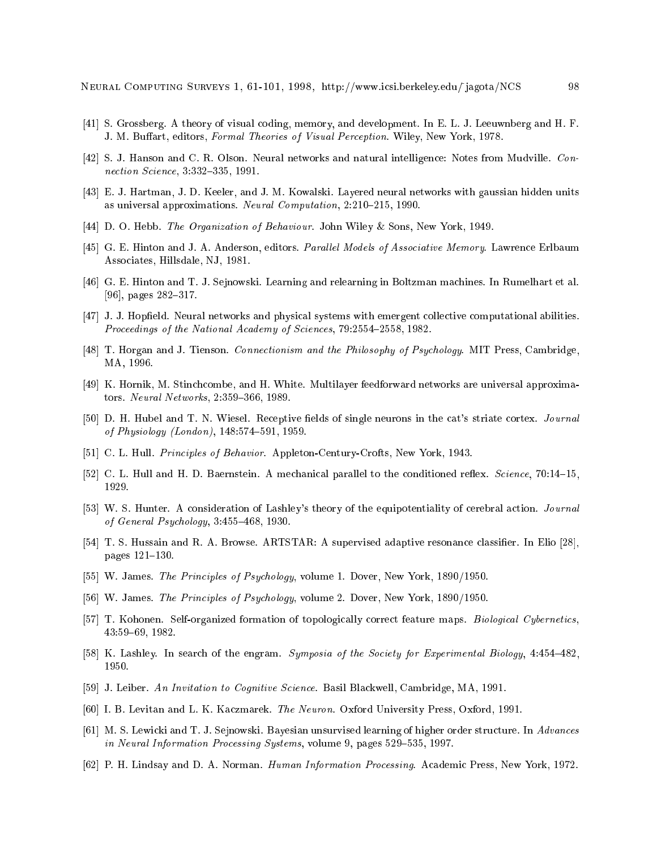- [41] S. Grossberg. A theory of visual coding, memory, and development. In E. L. J. Leeuwnberg and H. F. J. M. Buffart, editors, Formal Theories of Visual Perception. Wiley, New York, 1978.
- [42] S. J. Hanson and C. R. Olson. Neural networks and natural intelligence: Notes from Mudville. Connection Science, 3:332-335, 1991.
- [43] E. J. Hartman, J. D. Keeler, and J. M. Kowalski. Layered neural networks with gaussian hidden units as universal approximations. Neural Computation,  $2:210{-}215$ , 1990.
- [44] D. O. Hebb. The Organization of Behaviour. John Wiley & Sons, New York, 1949.
- [45] G. E. Hinton and J. A. Anderson, editors. Parallel Models of Associative Memory. Lawrence Erlbaum Associates, Hillsdale, NJ, 1981.
- [46] G. E. Hinton and T. J. Sejnowski. Learning and relearning in Boltzman machines. In Rumelhart et al. [96], pages  $282-317$ .
- [47] J. J. Hopfield. Neural networks and physical systems with emergent collective computational abilities. Proceedings of the National Academy of Sciences, 79:2554-2558, 1982.
- [48] T. Horgan and J. Tienson. Connectionism and the Philosophy of Psychology. MIT Press, Cambridge, MA, 1996.
- [49] K. Hornik, M. Stinchcombe, and H. White. Multilayer feedforward networks are universal approximators. Neural Networks,  $2:359-366$ , 1989.
- [50] D. H. Hubel and T. N. Wiesel. Receptive fields of single neurons in the cat's striate cortex. Journal of Physiology (London),  $148:574-591$ ,  $1959$ .
- [51] C. L. Hull. Principles of Behavior. Appleton-Century-Crofts, New York, 1943.
- [52] C. L. Hull and H. D. Baernstein. A mechanical parallel to the conditioned reflex. Science, 70:14-15, 1929.
- [53] W. S. Hunter. A consideration of Lashley's theory of the equipotentiality of cerebral action. *Journal* of General Psychology,  $3:455{-}468, 1930$ .
- [54] T. S. Hussain and R. A. Browse. ARTSTAR: A supervised adaptive resonance classifier. In Elio [28], pages  $121–130$ .
- [55] W. James. The Principles of Psychology, volume 1. Dover, New York, 1890/1950.
- [56] W. James. The Principles of Psychology, volume 2. Dover, New York, 1890/1950.
- [57] T. Kohonen. Self-organized formation of topologically correct feature maps. Biological Cybernetics, 43:59-69, 1982.
- [58] K. Lashley. In search of the engram. Symposia of the Society for Experimental Biology, 4:454-482, 1950.
- [59] J. Leiber. An Invitation to Cognitive Science. Basil Blackwell, Cambridge, MA, 1991.
- [60] I. B. Levitan and L. K. Kaczmarek. The Neuron. Oxford University Press, Oxford, 1991.
- [61] M. S. Lewicki and T. J. Sejnowski. Bayesian unsurvised learning of higher order structure. In Advances in Neural Information Processing Systems, volume 9, pages 529-535, 1997.
- [62] P. H. Lindsay and D. A. Norman. Human Information Processing. Academic Press, New York, 1972.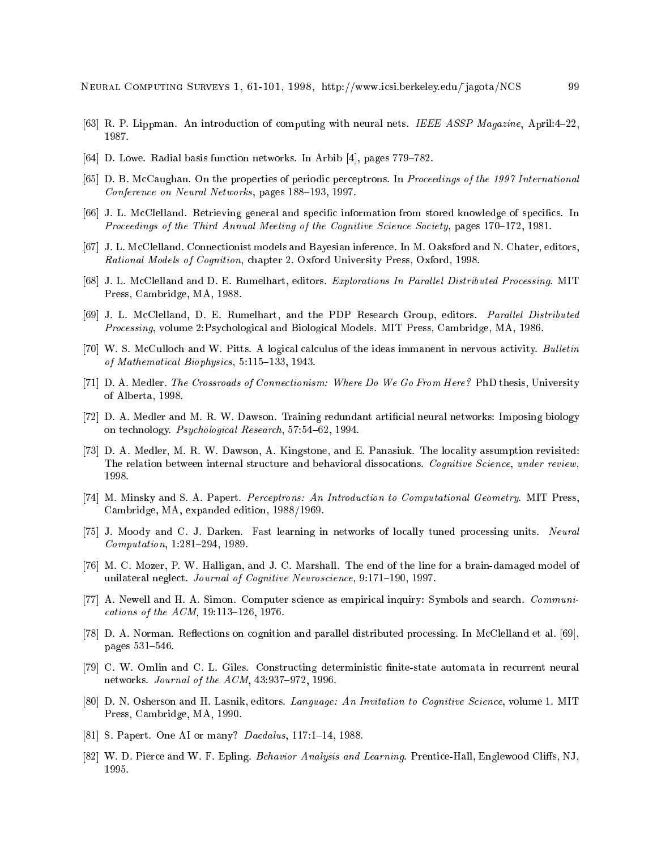- [63] R. P. Lippman. An introduction of computing with neural nets. IEEE ASSP Magazine, April:4-22, 1987.
- [64] D. Lowe. Radial basis function networks. In Arbib [4], pages  $779-782$ .
- [65] D. B. McCaughan. On the properties of periodic perceptrons. In Proceedings of the 1997 International Conference on Neural Networks, pages 188–193, 1997.
- [66] J. L. McClelland. Retrieving general and specific information from stored knowledge of specifics. In Proceedings of the Third Annual Meeting of the Cognitive Science Society, pages  $170-172$ , 1981.
- [67] J. L. McClelland. Connectionist models and Bayesian inference. In M. Oaksford and N. Chater, editors, Rational Models of Cognition, chapter 2. Oxford University Press, Oxford, 1998.
- [68] J. L. McClelland and D. E. Rumelhart, editors. Explorations In Parallel Distributed Processing. MIT Press, Cambridge, MA, 1988.
- [69] J. L. McClelland, D. E. Rumelhart, and the PDP Research Group, editors. Parallel Distributed Processing, volume 2:Psychological and Biological Models. MIT Press, Cambridge, MA, 1986.
- [70] W. S. McCulloch and W. Pitts. A logical calculus of the ideas immanent in nervous activity. Bulletin of Mathematical Biophysics,  $5:115-133$ , 1943.
- [71] D. A. Medler. The Crossroads of Connectionism: Where Do We Go From Here? PhD thesis, University of Alberta, 1998.
- [72] D. A. Medler and M. R. W. Dawson. Training redundant articial neural networks: Imposing biology on technology. Psychological Research, 57:54-62, 1994.
- [73] D. A. Medler, M. R. W. Dawson, A. Kingstone, and E. Panasiuk. The locality assumption revisited: The relation between internal structure and behavioral dissocations. Cognitive Science, under review, 1998.
- [74] M. Minsky and S. A. Papert. Perceptrons: An Introduction to Computational Geometry. MIT Press, Cambridge, MA, expanded edition, 1988/1969.
- [75] J. Moody and C. J. Darken. Fast learning in networks of locally tuned processing units. Neural  $Computation, 1:281-294, 1989.$
- [76] M. C. Mozer, P. W. Halligan, and J. C. Marshall. The end of the line for a brain-damaged model of unilateral neglect. Journal of Cognitive Neuroscience, 9:171-190, 1997.
- [77] A. Newell and H. A. Simon. Computer science as empirical inquiry: Symbols and search. Communications of the  $ACM$ , 19:113-126, 1976.
- [78] D. A. Norman. Reflections on cognition and parallel distributed processing. In McClelland et al. [69], pages 531-546.
- [79] C. W. Omlin and C. L. Giles. Constructing deterministic finite-state automata in recurrent neural networks. Journal of the  $ACM$ , 43:937-972, 1996.
- [80] D. N. Osherson and H. Lasnik, editors. Language: An Invitation to Cognitive Science, volume 1. MIT Press, Cambridge, MA, 1990.
- [81] S. Papert. One AI or many? *Daedalus*, 117:1-14, 1988.
- [82] W. D. Pierce and W. F. Epling. Behavior Analysis and Learning. Prentice-Hall, Englewood Cliffs, NJ, 1995.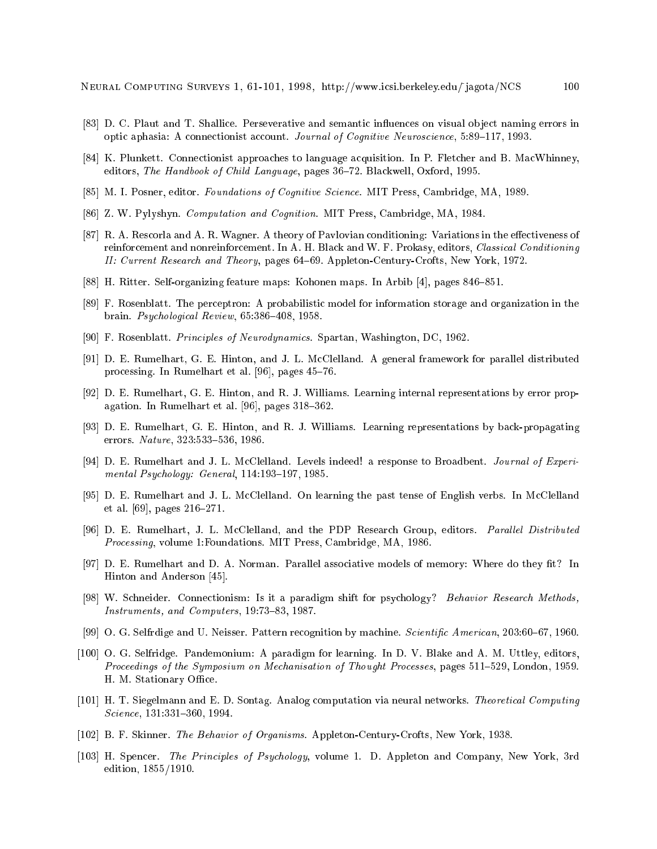- [83] D. C. Plaut and T. Shallice. Perseverative and semantic influences on visual object naming errors in optic aphasia: A connectionist account. Journal of Cognitive Neuroscience,  $5:89-117$ , 1993.
- [84] K. Plunkett. Connectionist approaches to language acquisition. In P. Fletcher and B. MacWhinney, editors, The Handbook of Child Language, pages 36-72. Blackwell, Oxford, 1995.
- [85] M. I. Posner, editor. Foundations of Cognitive Science. MIT Press, Cambridge, MA, 1989.
- [86] Z. W. Pylyshyn. Computation and Cognition. MIT Press, Cambridge, MA, 1984.
- [87] R. A. Rescorla and A. R. Wagner. A theory of Pavlovian conditioning: Variations in the effectiveness of reinforcement and nonreinforcement. In A. H. Black and W. F. Prokasy, editors, Classical Conditioning II: Current Research and Theory, pages 64–69. Appleton-Century-Crofts, New York, 1972.
- [88] H. Ritter. Self-organizing feature maps: Kohonen maps. In Arbib [4], pages 846–851.
- [89] F. Rosenblatt. The perceptron: A probabilistic model for information storage and organization in the brain. Psychological Review,  $65:386-408$ , 1958.
- [90] F. Rosenblatt. Principles of Neurodynamics. Spartan, Washington, DC, 1962.
- [91] D. E. Rumelhart, G. E. Hinton, and J. L. McClelland. A general framework for parallel distributed processing. In Rumelhart et al.  $[96]$ , pages  $45-76$ .
- [92] D. E. Rumelhart, G. E. Hinton, and R. J. Williams. Learning internal representations by error propagation. In Rumelhart et al.  $[96]$ , pages  $318-362$ .
- [93] D. E. Rumelhart, G. E. Hinton, and R. J. Williams. Learning representations by back-propagating errors. Nature, 323:533-536, 1986.
- [94] D. E. Rumelhart and J. L. McClelland. Levels indeed! a response to Broadbent. *Journal of Experi*mental Psychology: General,  $114:193-197$ ,  $1985$ .
- [95] D. E. Rumelhart and J. L. McClelland. On learning the past tense of English verbs. In McClelland et al. [69], pages  $216-271$ .
- [96] D. E. Rumelhart, J. L. McClelland, and the PDP Research Group, editors. Parallel Distributed Processing, volume 1:Foundations. MIT Press, Cambridge, MA, 1986.
- [97] D. E. Rumelhart and D. A. Norman. Parallel associative models of memory: Where do they fit? In Hinton and Anderson [45].
- [98] W. Schneider. Connectionism: Is it a paradigm shift for psychology? Behavior Research Methods, Instruments, and Computers,  $19:73-83$ ,  $1987$ .
- [99] O. G. Selfrdige and U. Neisser. Pattern recognition by machine. Scientific American, 203:60-67, 1960.
- [100] O. G. Selfridge. Pandemonium: A paradigm for learning. In D. V. Blake and A. M. Uttley, editors, Proceedings of the Symposium on Mechanisation of Thought Processes, pages 511-529, London, 1959. H. M. Stationary Office.
- [101] H. T. Siegelmann and E. D. Sontag. Analog computation via neural networks. Theoretical Computing Science, 131:331-360, 1994.
- [102] B. F. Skinner. The Behavior of Organisms. Appleton-Century-Crofts, New York, 1938.
- [103] H. Spencer. The Principles of Psychology, volume 1. D. Appleton and Company, New York, 3rd edition, 1855/1910.